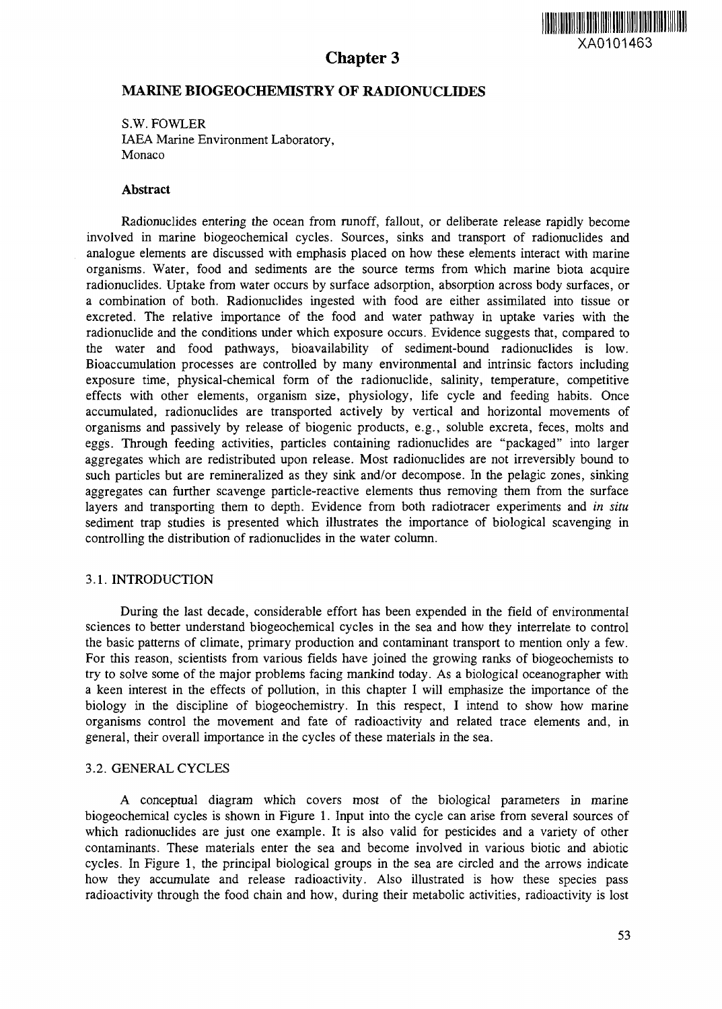# Chapter 3



# MARINE BIOGEOCHEMISTRY OF RADIONUCLIDES

S.W. FOWLER IAEA Marine Environment Laboratory, Monaco

#### **Abstract**

Radionuclides entering the ocean from runoff, fallout, or deliberate release rapidly become involved in marine biogeochemical cycles. Sources, sinks and transport of radionuclides and analogue elements are discussed with emphasis placed on how these elements interact with marine organisms. Water, food and sediments are the source terms from which marine biota acquire radionuclides. Uptake from water occurs by surface adsorption, absorption across body surfaces, or a combination of both. Radionuclides ingested with food are either assimilated into tissue or excreted. The relative importance of the food and water pathway in uptake varies with the radionuclide and the conditions under which exposure occurs. Evidence suggests that, compared to the water and food pathways, bioavailability of sediment-bound radionuclides is low. Bioaccumulation processes are controlled by many environmental and intrinsic factors including exposure time, physical-chemical form of the radionuclide, salinity, temperature, competitive effects with other elements, organism size, physiology, life cycle and feeding habits. Once accumulated, radionuclides are transported actively by vertical and horizontal movements of organisms and passively by release of biogenic products, e.g., soluble excreta, feces, molts and eggs. Through feeding activities, particles containing radionuclides are "packaged" into larger aggregates which are redistributed upon release. Most radionuclides are not irreversibly bound to such particles but are remineralized as they sink and/or decompose. In the pelagic zones, sinking aggregates can further scavenge particle-reactive elements thus removing them from the surface layers and transporting them to depth. Evidence from both radiotracer experiments and *in situ* sediment trap studies is presented which illustrates the importance of biological scavenging in controlling the distribution of radionuclides in the water column.

#### 3.1. INTRODUCTION

During the last decade, considerable effort has been expended in the field of environmental sciences to better understand biogeochemical cycles in the sea and how they interrelate to control the basic patterns of climate, primary production and contaminant transport to mention only a few. For this reason, scientists from various fields have joined the growing ranks of biogeochemists to try to solve some of the major problems facing mankind today. As a biological oceanographer with a keen interest in the effects of pollution, in this chapter I will emphasize the importance of the biology in the discipline of biogeochemistry. In this respect, I intend to show how marine organisms control the movement and fate of radioactivity and related trace elements and, in general, their overall importance in the cycles of these materials in the sea.

#### 3.2. GENERAL CYCLES

A conceptual diagram which covers most of the biological parameters in marine biogeochemical cycles is shown in Figure 1. Input into the cycle can arise from several sources of which radionuclides are just one example. It is also valid for pesticides and a variety of other contaminants. These materials enter the sea and become involved in various biotic and abiotic cycles. In Figure 1, the principal biological groups in the sea are circled and the arrows indicate how they accumulate and release radioactivity. Also illustrated is how these species pass radioactivity through the food chain and how, during their metabolic activities, radioactivity is lost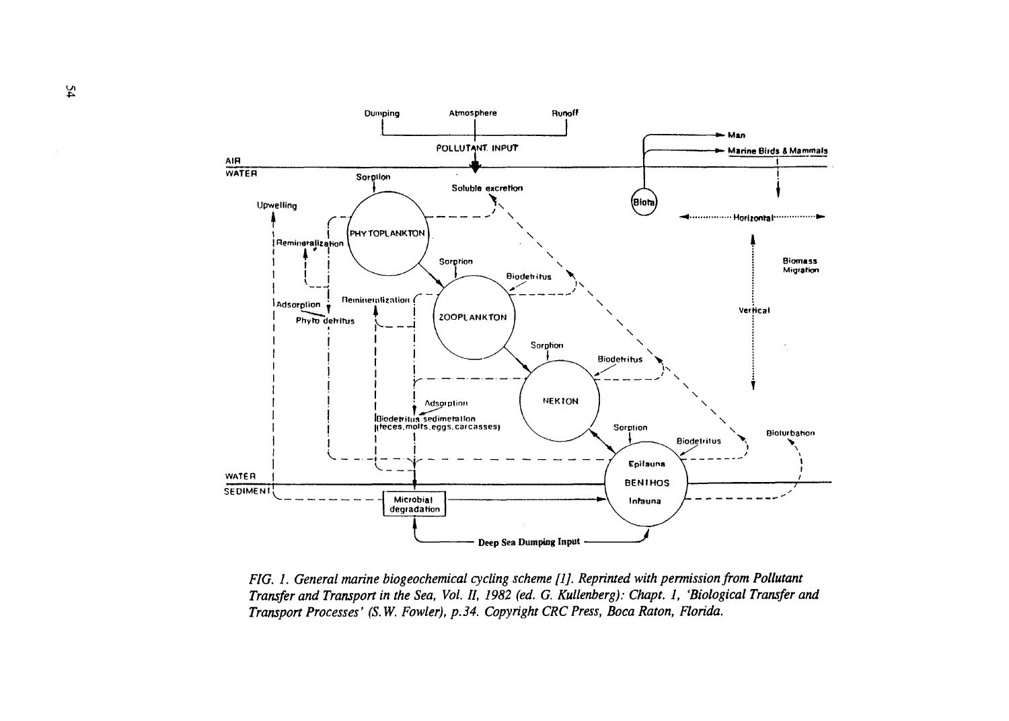

*FIG. 1. General marine biogeochemical cycling scheme flj. Reprinted with permission from Pollutant Transfer and Transport in the Sea, Vol. II, 1982 (ed. G. Kullenberg): Chapt. 1, 'Biological Transfer and Transpon Processes' (S.W. Fowler), p. 34. Copyright CRC Press, Boca Raton, Florida.*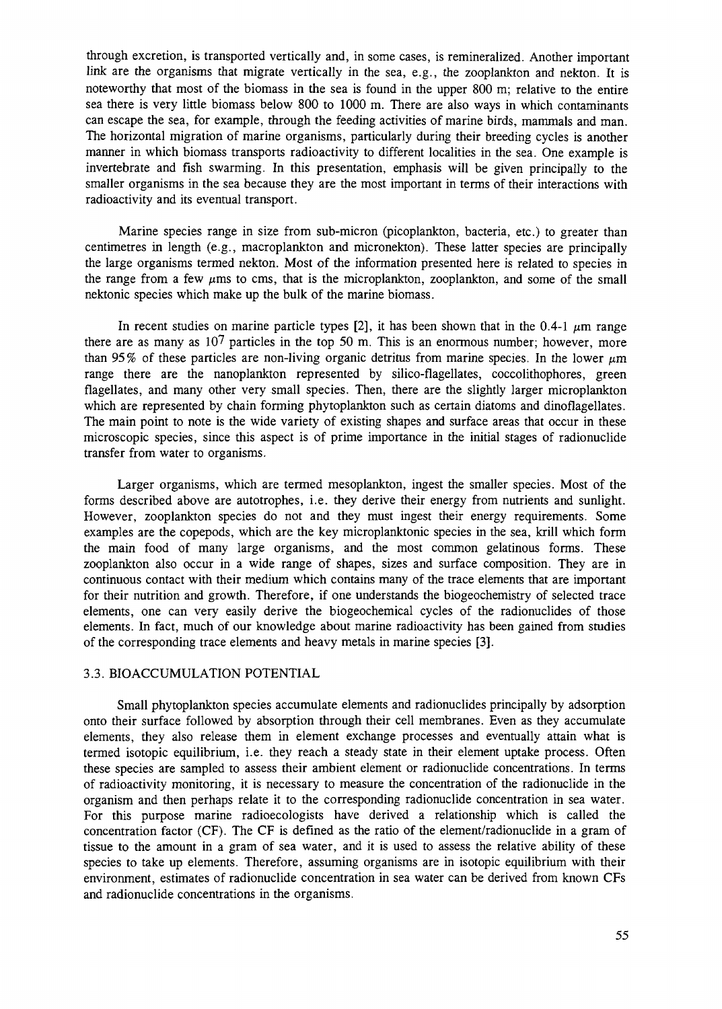through excretion, is transported vertically and, in some cases, is remineralized. Another important link are the organisms that migrate vertically in the sea, e.g., the zooplankton and nekton. It is noteworthy that most of the biomass in the sea is found in the upper 800 m; relative to the entire sea there is very little biomass below 800 to 1000 m. There are also ways in which contaminants can escape the sea, for example, through the feeding activities of marine birds, mammals and man. The horizontal migration of marine organisms, particularly during their breeding cycles is another manner in which biomass transports radioactivity to different localities in the sea. One example is invertebrate and fish swarming. In this presentation, emphasis will be given principally to the smaller organisms in the sea because they are the most important in terms of their interactions with radioactivity and its eventual transport.

Marine species range in size from sub-micron (picoplankton, bacteria, etc.) to greater than centimetres in length (e.g., macroplankton and micronekton). These latter species are principally the large organisms termed nekton. Most of the information presented here is related to species in the range from a few  $\mu$ ms to cms, that is the microplankton, zooplankton, and some of the small nektonic species which make up the bulk of the marine biomass.

In recent studies on marine particle types [2], it has been shown that in the 0.4-1  $\mu$ m range there are as many as 107 particles in the top 50 m. This is an enormous number; however, more than 95% of these particles are non-living organic detritus from marine species. In the lower  $\mu$ m range there are the nanoplankton represented by silico-flagellates, coccolithophores, green flagellates, and many other very small species. Then, there are the slightly larger microplankton which are represented by chain forming phytoplankton such as certain diatoms and dinoflagellates. The main point to note is the wide variety of existing shapes and surface areas that occur in these microscopic species, since this aspect is of prime importance in the initial stages of radionuclide transfer from water to organisms.

Larger organisms, which are termed mesoplankton, ingest the smaller species. Most of the forms described above are autotrophes, i.e. they derive their energy from nutrients and sunlight. However, zooplankton species do not and they must ingest their energy requirements. Some examples are the copepods, which are the key microplanktonic species in the sea, krill which form the main food of many large organisms, and the most common gelatinous forms. These zooplankton also occur in a wide range of shapes, sizes and surface composition. They are in continuous contact with their medium which contains many of the trace elements that are important for their nutrition and growth. Therefore, if one understands the biogeochemistry of selected trace elements, one can very easily derive the biogeochemical cycles of the radionuclides of those elements. In fact, much of our knowledge about marine radioactivity has been gained from studies of the corresponding trace elements and heavy metals in marine species [3].

#### 3.3. BIOACCUMULATION POTENTIAL

Small phytoplankton species accumulate elements and radionuclides principally by adsorption onto their surface followed by absorption through their cell membranes. Even as they accumulate elements, they also release them in element exchange processes and eventually attain what is termed isotopic equilibrium, i.e. they reach a steady state in their element uptake process. Often these species are sampled to assess their ambient element or radionuclide concentrations. In terms of radioactivity monitoring, it is necessary to measure the concentration of the radionuclide in the organism and then perhaps relate it to the corresponding radionuclide concentration in sea water. For this purpose marine radioecologists have derived a relationship which is called the concentration factor (CF). The CF is defined as the ratio of the element/radionuclide in a gram of tissue to the amount in a gram of sea water, and it is used to assess the relative ability of these species to take up elements. Therefore, assuming organisms are in isotopic equilibrium with their environment, estimates of radionuclide concentration in sea water can be derived from known CFs and radionuclide concentrations in the organisms.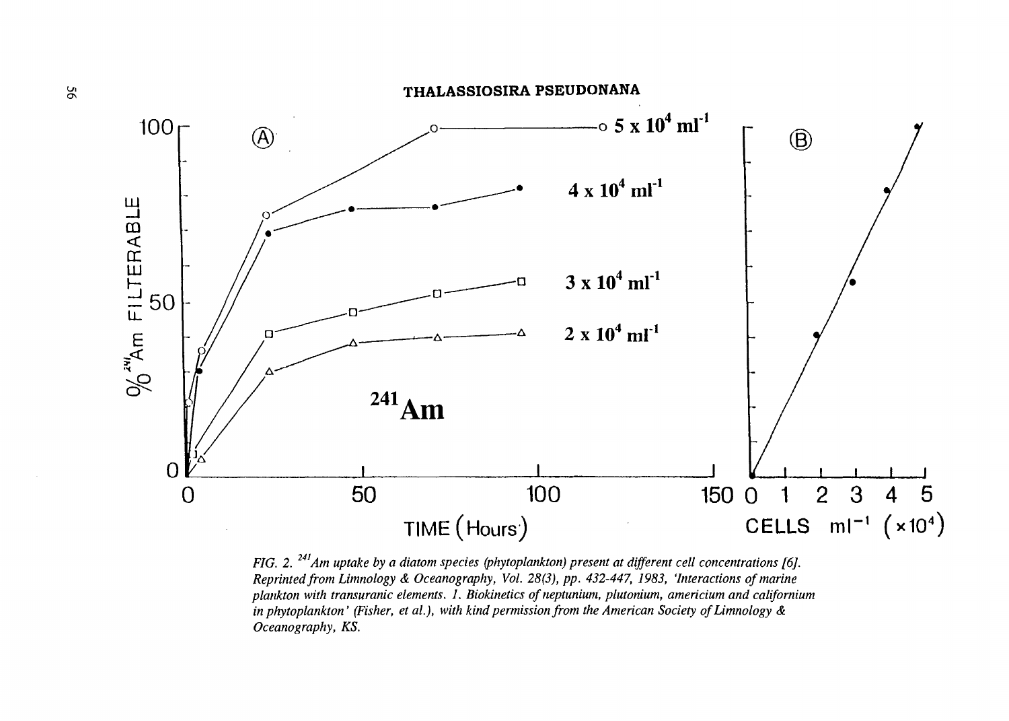



*FIG. 2.<sup>241</sup>Am uptake by a diatom species (phytoplankton) present at different cell concentrations [6J. Reprinted from Limnology & Oceanography, Vol. 28(3), pp. 432-447, 1983, 'Interactions of marine plankton with transuranic elements. 1. Biokinetics of neptunium, plutonium, americium and californium in phytoplankton' (Fisher, et al.), with kind permission from the American Society of Limnology & Oceanography, KS.*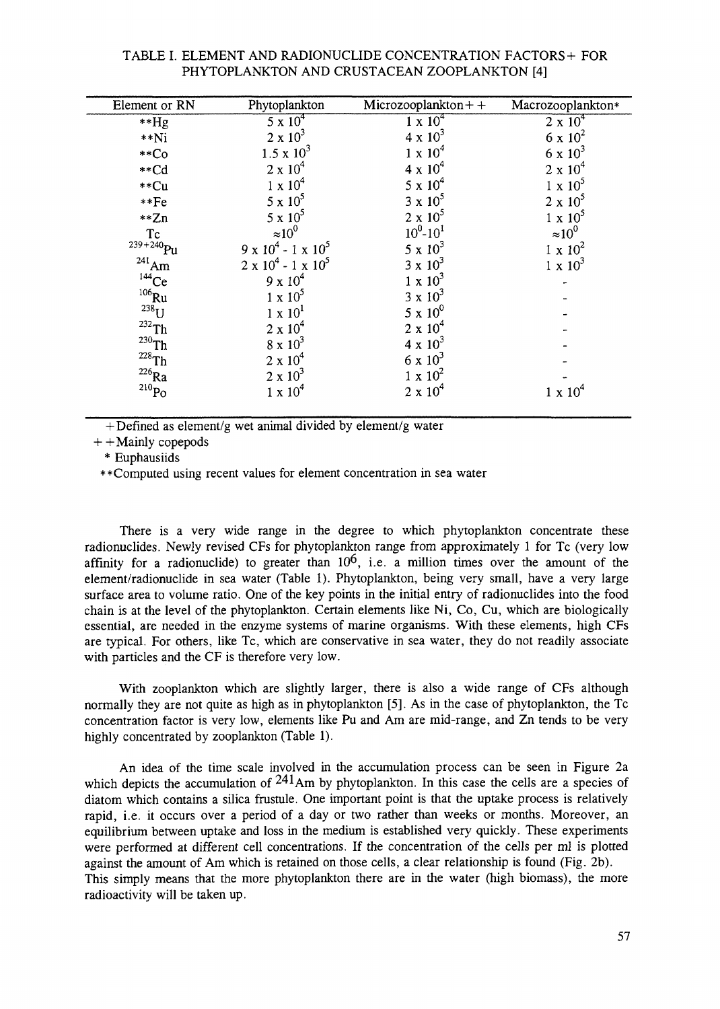### TABLE I. ELEMENT AND RADIONUCLIDE CONCENTRATION FACTORS + FOR PHYTOPLANKTON AND CRUSTACEAN ZOOPLANKTON [4]

| Element or RN       | Phytoplankton                   | $Microzooplankton++$ | Macrozooplankton* |
|---------------------|---------------------------------|----------------------|-------------------|
| $**Hg$              | $5 \times 10^4$                 | $1 \times 10^{4}$    | $2 \times 10^{4}$ |
| $**$ Ni             | $2 \times 10^3$                 | $4 \times 10^3$      | 6 x $10^2$        |
| $*$ Co              | $1.5 \times 10^{3}$             | $1 \times 10^4$      | $6 \times 10^3$   |
| $*$ cd              | $2 \times 10^4$                 | $4 \times 10^4$      | $2 \times 10^4$   |
| **Cu                | $1 \times 10^4$                 | $5 \times 10^4$      | $1 \times 10^5$   |
| $**Fe$              | $5 \times 10^5$                 | $3 \times 10^5$      | $2 \times 10^5$   |
| $*Zn$               | $5 \times 10^5$                 | $2 \times 10^5$      | $1 \times 10^5$   |
| Tc                  | $\approx 10^{0}$                | $10^0 - 10^1$        | $\approx 10^0$    |
| $239 + 240$ Pu      | $9 \times 10^4 - 1 \times 10^5$ | $5 \times 10^3$      | $1 \times 10^2$   |
| $^{241}_{144}$ Ce   | $2 \times 10^4 - 1 \times 10^5$ | $3 \times 10^3$      | $1 \times 10^3$   |
|                     | $9 \times 10^4$                 | $1 \times 10^3$      |                   |
| $106$ Ru            | $1 \times 10^5$                 | $3 \times 10^3$      |                   |
| $^{238}$ U          | $1 \times 10^1$                 | $5 \times 10^{0}$    |                   |
| $232$ Th            | $2 \times 10^4$                 | $2 \times 10^4$      |                   |
| $^{230}$ Th         | $8 \times 10^3$                 | $4 \times 10^3$      |                   |
| $228$ Th            | $2 \times 10^4$                 | 6 x $10^3$           |                   |
| $^{226}\mathrm{Ra}$ | $2 \times 10^3$                 | $1 \times 10^2$      |                   |
| $^{210}\mathrm{Po}$ | $1 \times 10^4$                 | $2 \times 10^4$      | $1 \times 10^4$   |
|                     |                                 |                      |                   |

 $+$  Defined as element/g wet animal divided by element/g water

 $+$  + Mainly copepods

\* Euphausiids

• •Computed using recent values for element concentration in sea water

There is a very wide range in the degree to which phytoplankton concentrate these radionuclides. Newly revised CFs for phytoplankton range from approximately 1 for Tc (very low affinity for a radionuclide) to greater than  $10^6$ , i.e. a million times over the amount of the element/radionuclide in sea water (Table 1). Phytoplankton, being very small, have a very large surface area to volume ratio. One of the key points in the initial entry of radionuclides into the food chain is at the level of the phytoplankton. Certain elements like Ni, Co, Cu, which are biologically essential, are needed in the enzyme systems of marine organisms. With these elements, high CFs are typical. For others, like Tc, which are conservative in sea water, they do not readily associate with particles and the CF is therefore very low.

With Zooplankton which are slightly larger, there is also a wide range of CFs although normally they are not quite as high as in phytoplankton [5]. As in the case of phytoplankton, the Tc concentration factor is very low, elements like Pu and Am are mid-range, and Zn tends to be very highly concentrated by Zooplankton (Table 1).

An idea of the time scale involved in the accumulation process can be seen in Figure 2a which depicts the accumulation of  $^{241}$ Am by phytoplankton. In this case the cells are a species of diatom which contains a silica frustule. One important point is that the uptake process is relatively rapid, i.e. it occurs over a period of a day or two rather than weeks or months. Moreover, an equilibrium between uptake and loss in the medium is established very quickly. These experiments were performed at different cell concentrations. If the concentration of the cells per ml is plotted against the amount of Am which is retained on those cells, a clear relationship is found (Fig. 2b). This simply means that the more phytoplankton there are in the water (high biomass), the more radioactivity will be taken up.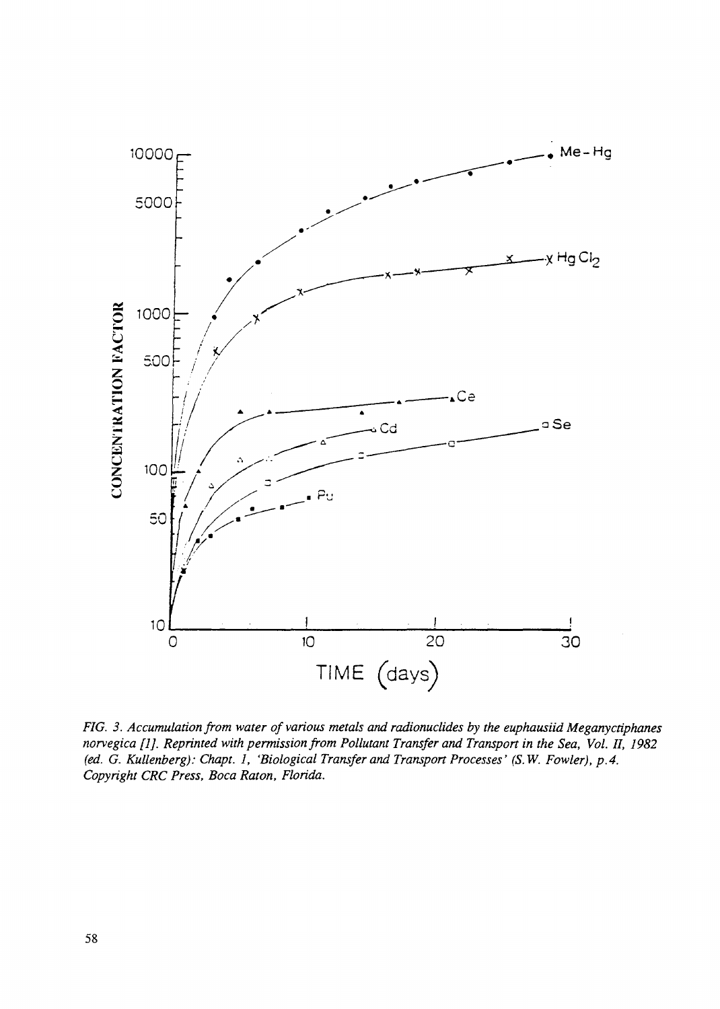

*FIG. 3. Accumulation from water of various metals and radionuclides by the euphausiid Meganyctiphanes norvegica [1]. Reprinted with permission from Pollutant Transfer and Transport in the Sea, Vol. II, 1982 (ed. G. Kullenberg): Chapt. 1, 'Biological Transfer and Transport Processes' (S.W. Fowler), p.4. Copyright CRC Press, Boca Raton, Florida.*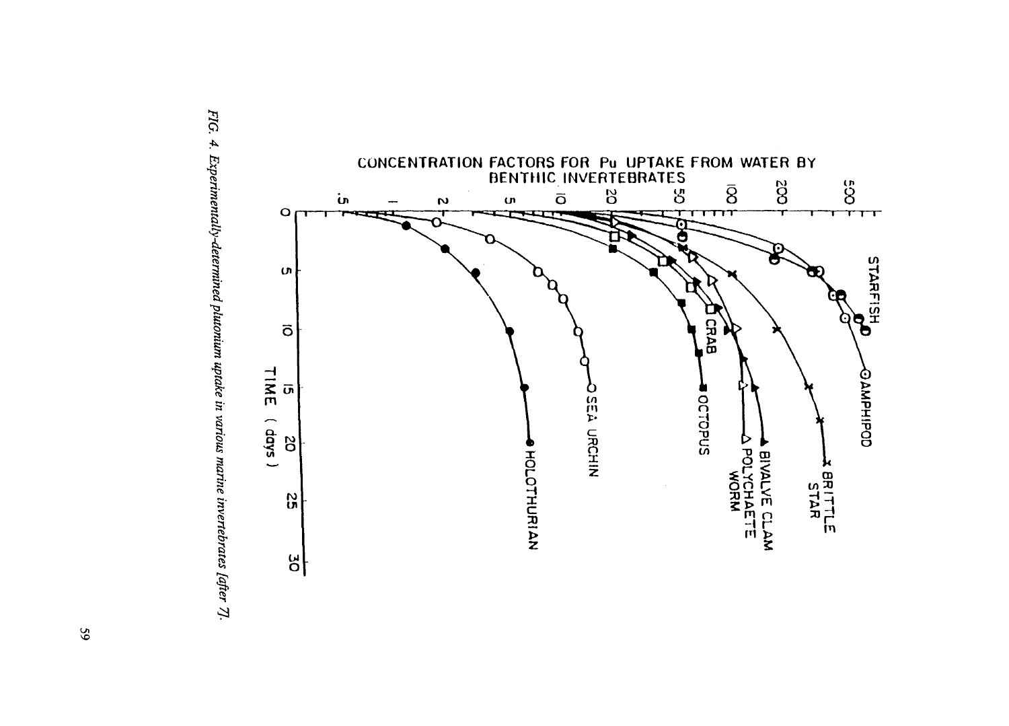

**3. s a a.** *Iutonii* الا ا **S" I. 3.** TeDT ai **5**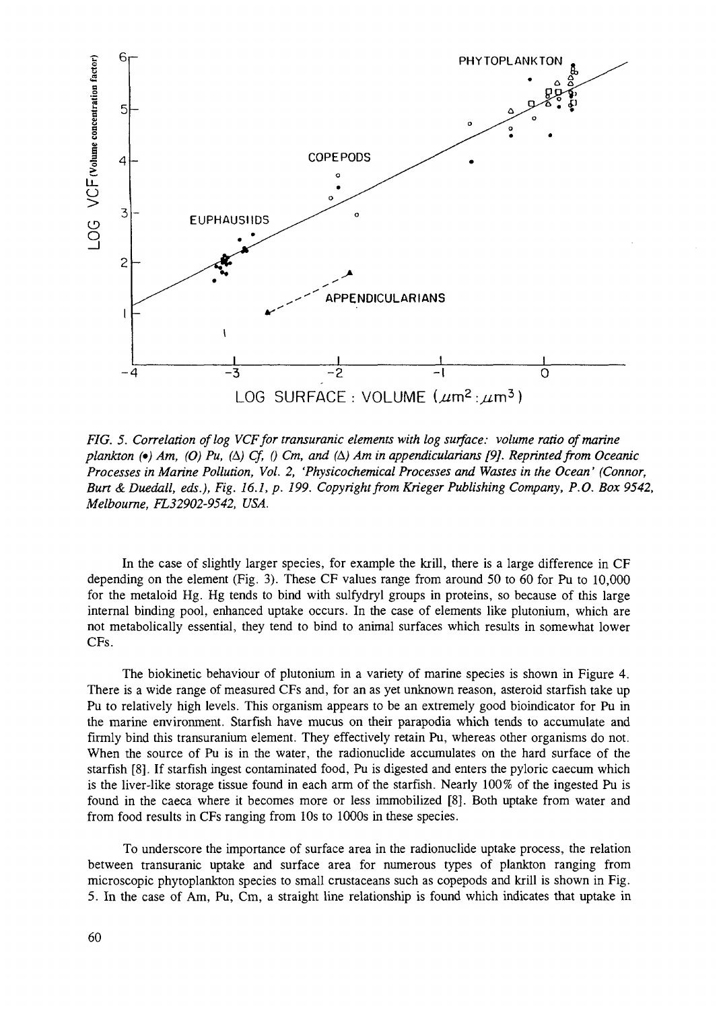

*FIG. 5. Correlation of log VCF for transuranic elements with log surface: volume ratio of marine plankton (•) Am, (O) Pu, (A) Cf, () Cm, and (A) Am in appendicularians [9]. Reprinted from Oceanic Processes in Marine Pollution, Vol. 2, 'Physicochemical Processes and Wastes in the Ocean' (Connor, Bun & Duedall, eds.), Fig. 16.1, p. 199. Copyright from Krieger Publishing Company, P.O. Box 9542, Melbourne, FL32902-9542, USA.*

In the case of slightly larger species, for example the krill, there is a large difference in CF depending on the element (Fig. 3). These CF values range from around 50 to 60 for Pu to 10,000 for the metaloid Hg. Hg tends to bind with sulfydryl groups in proteins, so because of this large internal binding pool, enhanced uptake occurs. In the case of elements like plutonium, which are not metabolically essential, they tend to bind to animal surfaces which results in somewhat lower CFs.

The biokinetic behaviour of plutonium in a variety of marine species is shown in Figure 4. There is a wide range of measured CFs and, for an as yet unknown reason, asteroid starfish take up Pu to relatively high levels. This organism appears to be an extremely good bioindicator for Pu in the marine environment. Starfish have mucus on their parapodia which tends to accumulate and firmly bind this transuranium element. They effectively retain Pu, whereas other organisms do not. When the source of Pu is in the water, the radionuclide accumulates on the hard surface of the starfish [8]. If starfish ingest contaminated food, Pu is digested and enters the pyloric caecum which is the liver-like storage tissue found in each arm of the starfish. Nearly 100% of the ingested Pu is found in the caeca where it becomes more or less immobilized [8]. Both uptake from water and from food results in CFs ranging from 10s to 1000s in these species.

To underscore the importance of surface area in the radionuclide uptake process, the relation between transuranic uptake and surface area for numerous types of plankton ranging from microscopic phytoplankton species to small crustaceans such as copepods and krill is shown in Fig. 5. In the case of Am, Pu, Cm, a straight line relationship is found which indicates that uptake in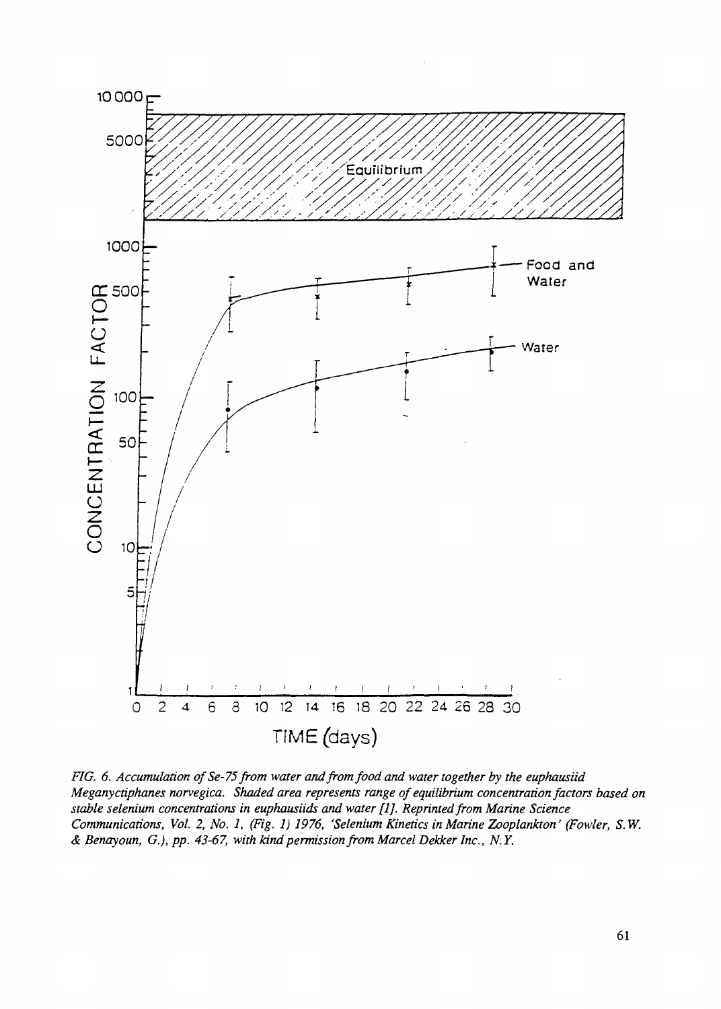

*FIG. 6. Accumulation of Se-75 from water and from food and water together by the euphausiid Meganyctiphanes norvegica. Shaded area represents range of equilibrium concentration factors based on stable selenium concentrations in euphausiids and water [1], Reprinted from Marine Science Communications, Vol. 2, No. 1, (Fig. 1) 1976, 'Selenium Kinetics in Marine Zooplankton' (Fowler, S.W. & Benayoun, G.), pp. 43-67, with kind permission from Marcel Dekker Inc., N.Y.*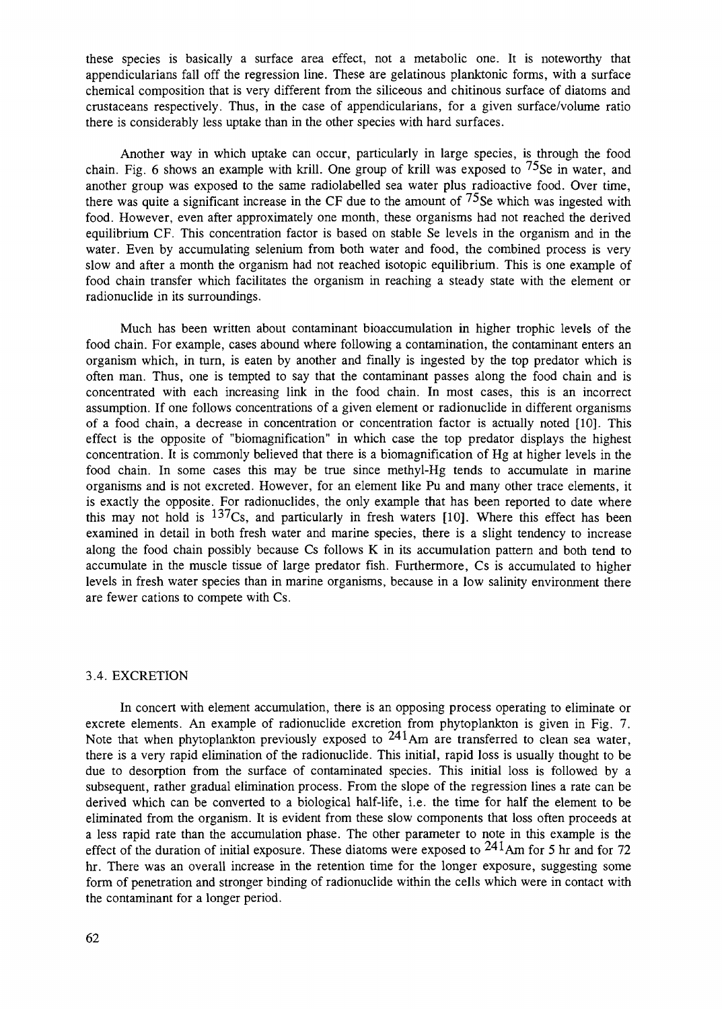these species is basically a surface area effect, not a metabolic one. It is noteworthy that appendicularians fall off the regression line. These are gelatinous planktonic forms, with a surface chemical composition that is very different from the siliceous and chitinous surface of diatoms and crustaceans respectively. Thus, in the case of appendicularians, for a given surface/volume ratio there is considerably less uptake than in the other species with hard surfaces.

Another way in which uptake can occur, particularly in large species, is through the food chain. Fig. 6 shows an example with krill. One group of krill was exposed to  $^{75}$ Se in water, and another group was exposed to the same radiolabelled sea water plus radioactive food. Over time, there was quite a significant increase in the CF due to the amount of  $^{75}$ Se which was ingested with food. However, even after approximately one month, these organisms had not reached the derived equilibrium CF. This concentration factor is based on stable Se levels in the organism and in the water. Even by accumulating selenium from both water and food, the combined process is very slow and after a month the organism had not reached isotopic equilibrium. This is one example of food chain transfer which facilitates the organism in reaching a steady state with the element or radionuclide in its surroundings.

Much has been written about contaminant bioaccumulation in higher trophic levels of the food chain. For example, cases abound where following a contamination, the contaminant enters an organism which, in turn, is eaten by another and finally is ingested by the top predator which is often man. Thus, one is tempted to say that the contaminant passes along the food chain and is concentrated with each increasing link in the food chain. In most cases, this is an incorrect assumption. If one follows concentrations of a given element or radionuclide in different organisms of a food chain, a decrease in concentration or concentration factor is actually noted [10]. This effect is the opposite of "biomagnification" in which case the top predator displays the highest concentration. It is commonly believed that there is a biomagnification of Hg at higher levels in the food chain. In some cases this may be true since methyl-Hg tends to accumulate in marine organisms and is not excreted. However, for an element like Pu and many other trace elements, it is exactly the opposite. For radionuclides, the only example that has been reported to date where this may not hold is  $137Cs$ , and particularly in fresh waters [10]. Where this effect has been examined in detail in both fresh water and marine species, there is a slight tendency to increase along the food chain possibly because Cs follows K in its accumulation pattern and both tend to accumulate in the muscle tissue of large predator fish. Furthermore, Cs is accumulated to higher levels in fresh water species than in marine organisms, because in a low salinity environment there are fewer cations to compete with Cs.

#### 3.4. EXCRETION

In concert with element accumulation, there is an opposing process operating to eliminate or excrete elements. An example of radionuclide excretion from phytoplankton is given in Fig. 7. Note that when phytoplankton previously exposed to  $241$ Am are transferred to clean sea water, there is a very rapid elimination of the radionuclide. This initial, rapid loss is usually thought to be due to desorption from the surface of contaminated species. This initial loss is followed by a subsequent, rather gradual elimination process. From the slope of the regression lines a rate can be derived which can be converted to a biological half-life, i.e. the time for half the element to be eliminated from the organism. It is evident from these slow components that loss often proceeds at a less rapid rate than the accumulation phase. The other parameter to note in this example is the effect of the duration of initial exposure. These diatoms were exposed to  $^{241}$ Am for 5 hr and for 72 hr. There was an overall increase in the retention time for the longer exposure, suggesting some form of penetration and stronger binding of radionuclide within the cells which were in contact with the contaminant for a longer period.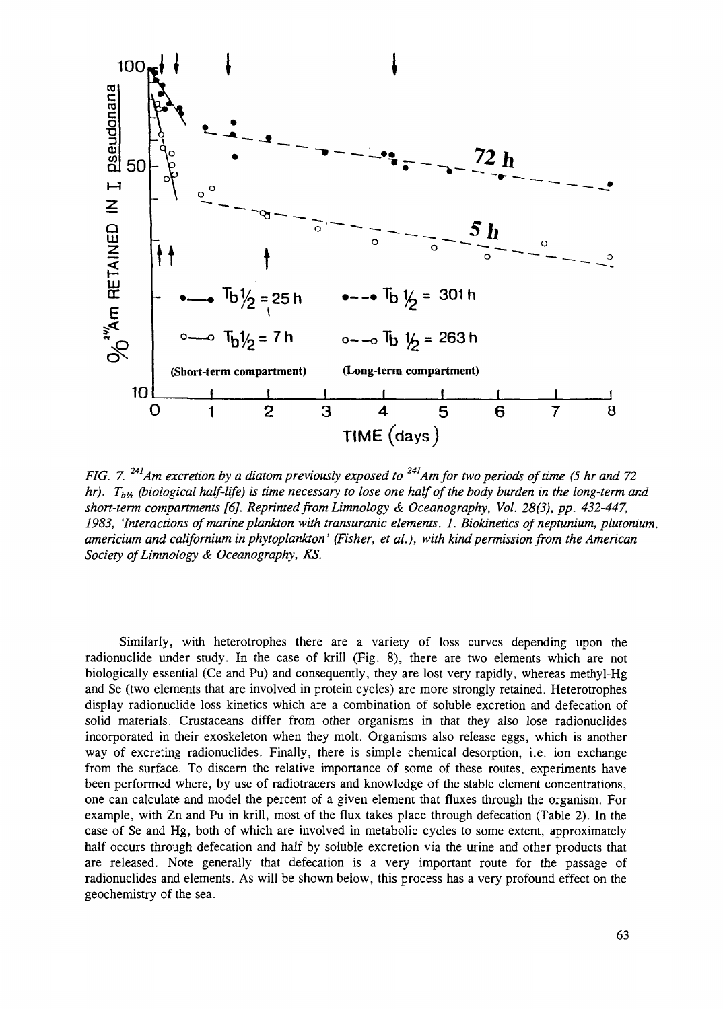

*FIG. 7.<sup>241</sup>Am excretion by a diatom previously exposed to<sup>241</sup> Am for two periods of time (5 hr and 72 hr*).  $T_{b}$ <sup>*/</sup><sub>* $b$ *</sub><sup><i>A*</sup> (*biological half-life*) is time necessary to lose one half of the body burden in the long-term and</sup> *short-term compartments [6J. Reprinted from Limnology & Oceanography, Vol. 28(3), pp. 432-447, 1983, 'Interactions of marine plankton with transuranic elements. 1. Biokinetics of neptunium, plutonium, americium and californium in phytoplankton' (Fisher, et al.), with kind permission from the American Society of Limnology & Oceanography, KS.*

Similarly, with heterotrophes there are a variety of loss curves depending upon the radionuclide under study. In the case of krill (Fig. 8), there are two elements which are not biologically essential (Ce and Pu) and consequently, they are lost very rapidly, whereas methyl-Hg and Se (two elements that are involved in protein cycles) are more strongly retained. Heterotrophes display radionuclide loss kinetics which are a combination of soluble excretion and defecation of solid materials. Crustaceans differ from other organisms in that they also lose radionuclides incorporated in their exoskeleton when they molt. Organisms also release eggs, which is another way of excreting radionuclides. Finally, there is simple chemical desorption, i.e. ion exchange from the surface. To discern the relative importance of some of these routes, experiments have been performed where, by use of radiotracers and knowledge of the stable element concentrations, one can calculate and model the percent of a given element that fluxes through the organism. For example, with Zn and Pu in krill, most of the flux takes place through defecation (Table 2). In the case of Se and Hg, both of which are involved in metabolic cycles to some extent, approximately half occurs through defecation and half by soluble excretion via the urine and other products that are released. Note generally that defecation is a very important route for the passage of radionuclides and elements. As will be shown below, this process has a very profound effect on the geochemistry of the sea.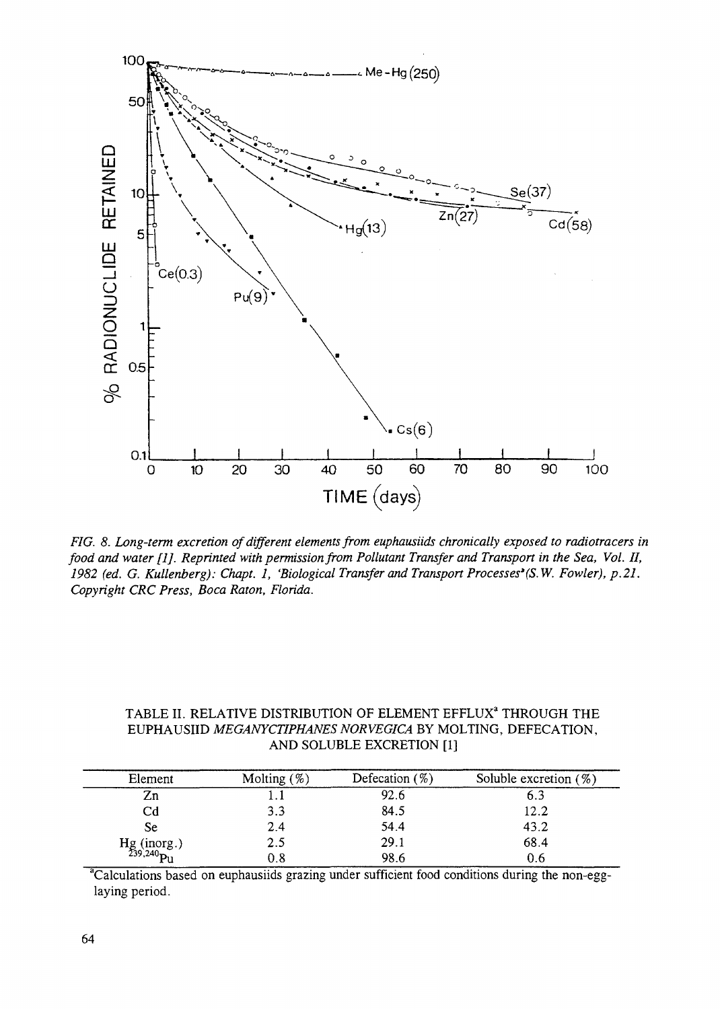

*FIG. 8. Long-term excretion of different elements from euphausiids chronically exposed to radiotracers in food and water [1J. Reprinted with permission from Pollutant Transfer and Transport in the Sea, Vol. II, 1982 (ed. G. Kullenberg): Chapt. 1, 'Biological Transfer and Transport Processes'(S.W. Fowler), p.21. Copyright CRC Press, Boca Raton, Florida.*

| TABLE II. RELATIVE DISTRIBUTION OF ELEMENT EFFLUX <sup>ª</sup> THROUGH THE |
|----------------------------------------------------------------------------|
| EUPHAUSIID MEGANYCTIPHANES NORVEGICA BY MOLTING, DEFECATION,               |
| AND SOLUBLE EXCRETION [1]                                                  |

| Element                             | Molting $(\%)$ | Defecation $(\%)$ | Soluble excretion $(\%)$ |
|-------------------------------------|----------------|-------------------|--------------------------|
| Zn                                  |                | 92.6              | 6.3                      |
| Cd                                  | 3.3            | 84.5              | 12.2                     |
| Se                                  | 2.4            | 54.4              | 43.2                     |
| $Hg (inorg.)$<br>$^{239,240}P_{11}$ | 2.5            | 29.1              | 68.4                     |
|                                     | 0.8            | 98.6              |                          |

<sup>a</sup>Calculations based on euphausiids grazing under sufficient food conditions during the non-egglaying period.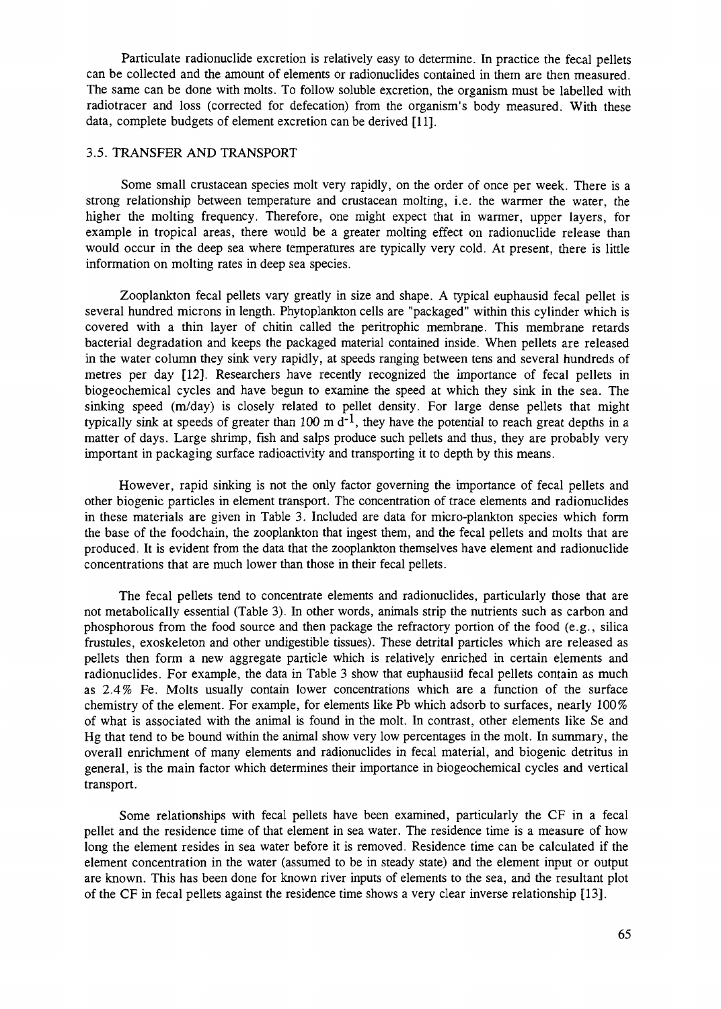Particulate radionuclide excretion is relatively easy to determine. In practice the fecal pellets can be collected and the amount of elements or radionuclides contained in them are then measured. The same can be done with molts. To follow soluble excretion, the organism must be labelled with radiotracer and loss (corrected for defecation) from the organism's body measured. With these data, complete budgets of element excretion can be derived [11].

### 3.5. TRANSFER AND TRANSPORT

Some small crustacean species molt very rapidly, on the order of once per week. There is a strong relationship between temperature and crustacean molting, i.e. the warmer the water, the higher the molting frequency. Therefore, one might expect that in warmer, upper layers, for example in tropical areas, there would be a greater molting effect on radionuclide release than would occur in the deep sea where temperatures are typically very cold. At present, there is little information on molting rates in deep sea species.

Zooplankton fecal pellets vary greatly in size and shape. A typical euphausid fecal pellet is several hundred microns in length. Phytoplankton cells are "packaged" within this cylinder which is covered with a thin layer of chitin called the peritrophic membrane. This membrane retards bacterial degradation and keeps the packaged material contained inside. When pellets are released in the water column they sink very rapidly, at speeds ranging between tens and several hundreds of metres per day [12]. Researchers have recently recognized the importance of fecal pellets in biogeochemical cycles and have begun to examine the speed at which they sink in the sea. The sinking speed (m/day) is closely related to pellet density. For large dense pellets that might typically sink at speeds of greater than 100 m  $d^{-1}$ , they have the potential to reach great depths in a matter of days. Large shrimp, fish and salps produce such pellets and thus, they are probably very important in packaging surface radioactivity and transporting it to depth by this means.

However, rapid sinking is not the only factor governing the importance of fecal pellets and other biogenic particles in element transport. The concentration of trace elements and radionuclides in these materials are given in Table 3. Included are data for micro-plankton species which form the base of the foodchain, the zooplankton that ingest them, and the fecal pellets and molts that are produced. It is evident from the data that the zooplankton themselves have element and radionuclide concentrations that are much lower than those in their fecal pellets.

The fecal pellets tend to concentrate elements and radionuclides, particularly those that are not metabolically essential (Table 3). In other words, animals strip the nutrients such as carbon and phosphorous from the food source and then package the refractory portion of the food (e.g., silica frustules, exoskeleton and other undigestible tissues). These detrital particles which are released as pellets then form a new aggregate particle which is relatively enriched in certain elements and radionuclides. For example, the data in Table 3 show that euphausiid fecal pellets contain as much as 2.4% Fe. Molts usually contain lower concentrations which are a function of the surface chemistry of the element. For example, for elements like Pb which adsorb to surfaces, nearly 100% of what is associated with the animal is found in the molt. In contrast, other elements like Se and Hg that tend to be bound within the animal show very low percentages in the molt. In summary, the overall enrichment of many elements and radionuclides in fecal material, and biogenic detritus in general, is the main factor which determines their importance in biogeochemical cycles and vertical transport.

Some relationships with fecal pellets have been examined, particularly the CF in a fecal pellet and the residence time of that element in sea water. The residence time is a measure of how long the element resides in sea water before it is removed. Residence time can be calculated if the element concentration in the water (assumed to be in steady state) and the element input or output are known. This has been done for known river inputs of elements to the sea, and the resultant plot of the CF in fecal pellets against the residence time shows a very clear inverse relationship [13].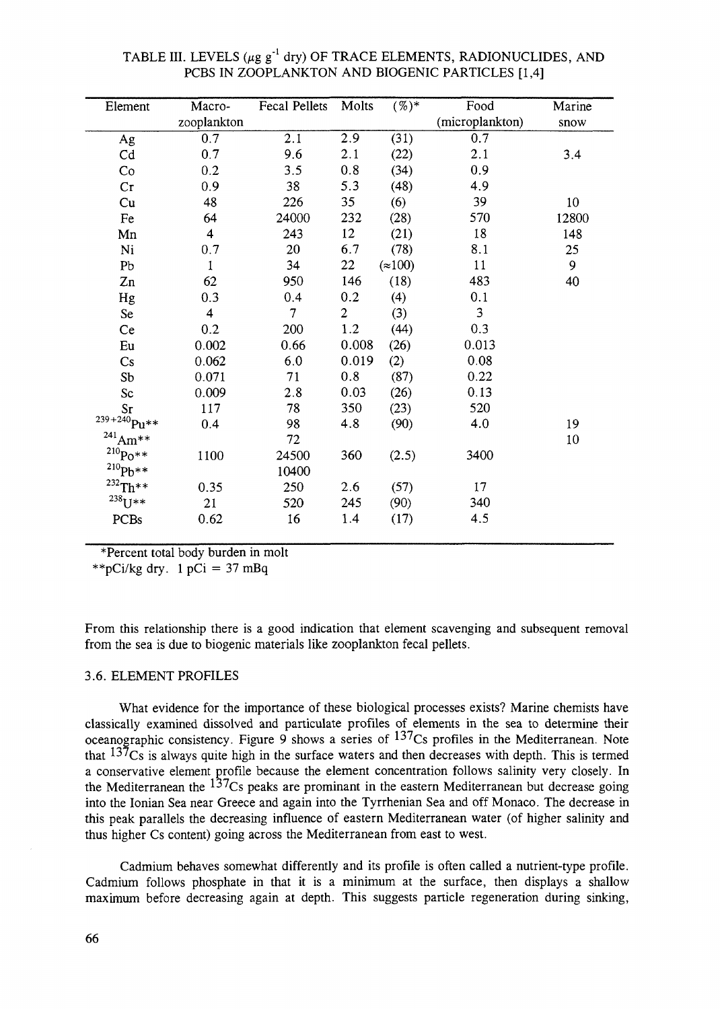| Element          | Macro-                  | Fecal Pellets  | Molts          | $(\%)^*$      | Food            | Marine |
|------------------|-------------------------|----------------|----------------|---------------|-----------------|--------|
|                  | zooplankton             |                |                |               | (microplankton) | snow   |
| Ag               | 0.7                     | 2.1            | 2.9            | (31)          | 0.7             |        |
| Cd               | 0.7                     | 9.6            | 2.1            | (22)          | 2.1             | 3.4    |
| Co               | 0.2                     | 3.5            | 0.8            | (34)          | 0.9             |        |
| Cr               | 0.9                     | 38             | 5.3            | (48)          | 4.9             |        |
| Cu               | 48                      | 226            | 35             | (6)           | 39              | $10\,$ |
| Fe               | 64                      | 24000          | 232            | (28)          | 570             | 12800  |
| Mn               | $\overline{\mathbf{4}}$ | 243            | 12             | (21)          | 18              | 148    |
| Ni               | 0.7                     | 20             | 6.7            | (78)          | 8.1             | 25     |
| Pb               | $\mathbf{1}$            | 34             | 22             | $\approx 100$ | 11              | 9      |
| Zn               | 62                      | 950            | 146            | (18)          | 483             | 40     |
| Hg               | 0.3                     | 0.4            | 0.2            | (4)           | 0.1             |        |
| Se               | $\overline{\mathbf{4}}$ | $\overline{7}$ | $\overline{2}$ | (3)           | $\overline{3}$  |        |
| Ce               | 0.2                     | 200            | 1.2            | (44)          | 0.3             |        |
| Eu               | 0.002                   | 0.66           | 0.008          | (26)          | 0.013           |        |
| Cs               | 0.062                   | 6.0            | 0.019          | (2)           | 0.08            |        |
| S <sub>b</sub>   | 0.071                   | 71             | 0.8            | (87)          | 0.22            |        |
| Sc               | 0.009                   | 2.8            | 0.03           | (26)          | 0.13            |        |
| Sr               | 117                     | 78             | 350            | (23)          | 520             |        |
| $^{239+240}Pu**$ | 0.4                     | 98             | 4.8            | (90)          | 4.0             | 19     |
| $^{241}$ Am**    |                         | 72             |                |               |                 | 10     |
| $^{210}Po**$     | 1100                    | 24500          | 360            | (2.5)         | 3400            |        |
| $^{210}Pb***$    |                         | 10400          |                |               |                 |        |
| $^{232}$ Th**    | 0.35                    | 250            | 2.6            | (57)          | 17              |        |
| $^{238}U^{**}$   | 21                      | 520            | 245            | (90)          | 340             |        |
| PCBs             | 0.62                    | 16             | 1.4            | (17)          | 4.5             |        |
|                  |                         |                |                |               |                 |        |

TABLE III. LEVELS (µg g<sup>-1</sup> dry) OF TRACE ELEMENTS, RADIONUCLIDES, AND PCBS IN ZOOPLANKTON AND BIOGENIC PARTICLES [1,4]

\*Percent total body burden in molt

\*\*pCi/kg dry.  $1 pCi = 37 mBq$ 

From this relationship there is a good indication that element scavenging and subsequent removal from the sea is due to biogenic materials like zooplankton fecal pellets.

### 3.6. ELEMENT PROFILES

What evidence for the importance of these biological processes exists? Marine chemists have classically examined dissolved and particulate profiles of elements in the sea to determine their oceanographic consistency. Figure 9 shows a series of  $13^{7}Cs$  profiles in the Mediterranean. Note that  $137$ Cs is always quite high in the surface waters and then decreases with depth. This is termed a conservative element profile because the element concentration follows salinity very closely. In the Mediterranean the <sup>137</sup>Cs peaks are prominant in the eastern Mediterranean but decrease going into the Ionian Sea near Greece and again into the Tyrrhenian Sea and off Monaco. The decrease in this peak parallels the decreasing influence of eastern Mediterranean water (of higher salinity and thus higher Cs content) going across the Mediterranean from east to west.

Cadmium behaves somewhat differently and its profile is often called a nutrient-type profile. Cadmium follows phosphate in that it is a minimum at the surface, then displays a shallow maximum before decreasing again at depth. This suggests particle regeneration during sinking,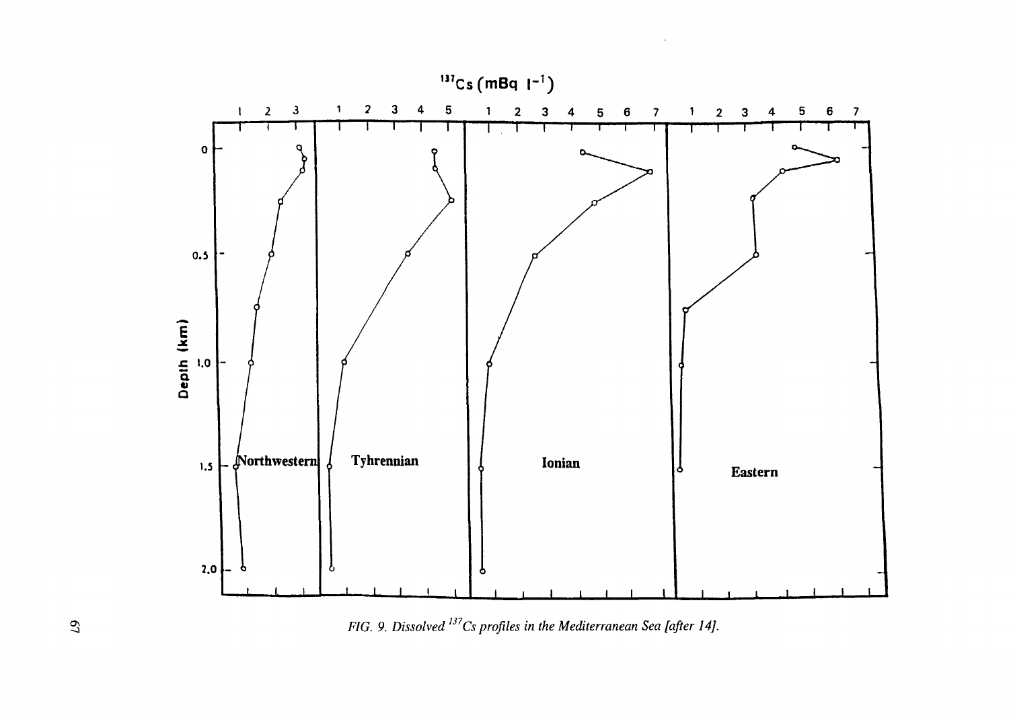

*FIG.* 9. Dissolved <sup>137</sup>Cs profiles in the Mediterranean Sea [after 14].

*as* **j**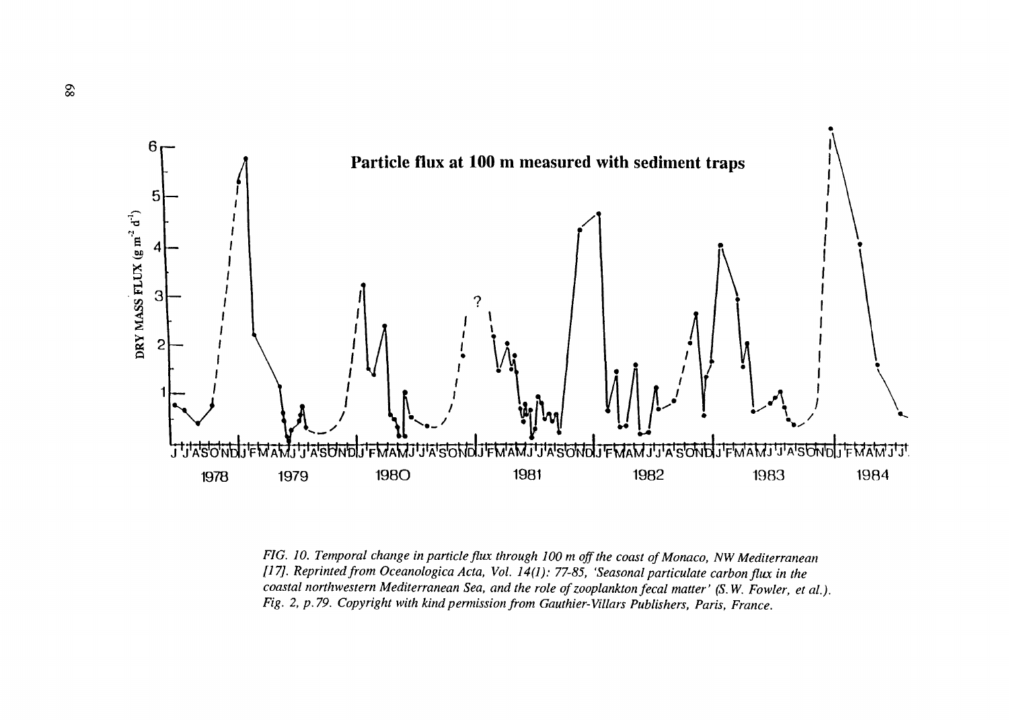

*FIG. 10. Temporal change in particle flux through 100 m off the coast of Monaco, NW Mediterranean [17]. Reprinted from Oceanologica Acta, Vol. 14(1): 77-85, 'Seasonal paniculate carbon flux in the coastal northwestern Mediterranean Sea, and the role of zooplankton fecal matter' (S. W. Fowler, et al.). Fig. 2, p. 79. Copyright with kind permission from Gauthier-Villars Publishers, Paris, France.*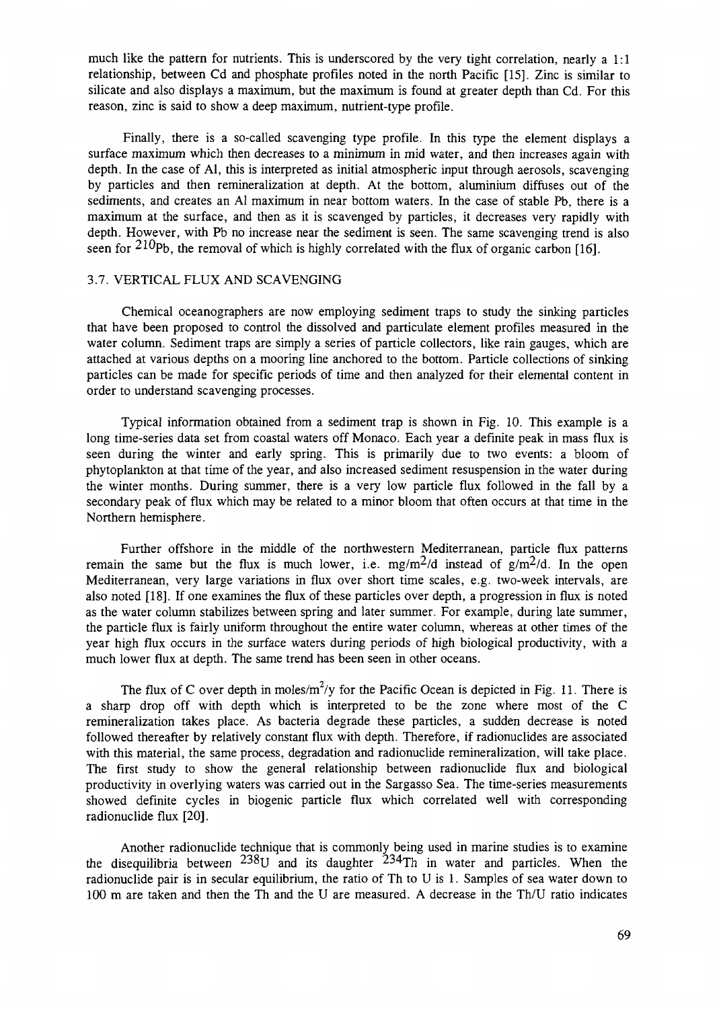much like the pattern for nutrients. This is underscored by the very tight correlation, nearly a 1:1 relationship, between Cd and phosphate profiles noted in the north Pacific [15]. Zinc is similar to silicate and also displays a maximum, but the maximum is found at greater depth than Cd. For this reason, zinc is said to show a deep maximum, nutrient-type profile.

Finally, there is a so-called scavenging type profile. In this type the element displays a surface maximum which then decreases to a minimum in mid water, and then increases again with depth. In the case of Al, this is interpreted as initial atmospheric input through aerosols, scavenging by particles and then remineralization at depth. At the bottom, aluminium diffuses out of the sediments, and creates an Al maximum in near bottom waters. In the case of stable Pb, there is a maximum at the surface, and then as it is scavenged by particles, it decreases very rapidly with depth. However, with Pb no increase near the sediment is seen. The same scavenging trend is also seen for  $^{210}Pb$ , the removal of which is highly correlated with the flux of organic carbon [16].

#### 3.7. VERTICAL FLUX AND SCAVENGING

Chemical oceanographers are now employing sediment traps to study the sinking particles that have been proposed to control the dissolved and particulate element profiles measured in the water column. Sediment traps are simply a series of particle collectors, like rain gauges, which are attached at various depths on a mooring line anchored to the bottom. Particle collections of sinking particles can be made for specific periods of time and then analyzed for their elemental content in order to understand scavenging processes.

Typical information obtained from a sediment trap is shown in Fig. 10. This example is a long time-series data set from coastal waters off Monaco. Each year a definite peak in mass flux is seen during the winter and early spring. This is primarily due to two events: a bloom of phytoplankton at that time of the year, and also increased sediment resuspension in the water during the winter months. During summer, there is a very low particle flux followed in the fall by a secondary peak of flux which may be related to a minor bloom that often occurs at that time in the Northern hemisphere.

Further offshore in the middle of the northwestern Mediterranean, particle flux patterns remain the same but the flux is much lower, i.e.  $mg/m^2/d$  instead of  $g/m^2/d$ . In the open Mediterranean, very large variations in flux over short time scales, e.g. two-week intervals, are also noted [18]. If one examines the flux of these particles over depth, a progression in flux is noted as the water column stabilizes between spring and later summer. For example, during late summer, the particle flux is fairly uniform throughout the entire water column, whereas at other times of the year high flux occurs in the surface waters during periods of high biological productivity, with a much lower flux at depth. The same trend has been seen in other oceans.

The flux of C over depth in moles/m<sup>2</sup>/y for the Pacific Ocean is depicted in Fig. 11. There is a sharp drop off with depth which is interpreted to be the zone where most of the C remineralization takes place. As bacteria degrade these particles, a sudden decrease is noted followed thereafter by relatively constant flux with depth. Therefore, if radionuclides are associated with this material, the same process, degradation and radionuclide remineralization, will take place. The first study to show the general relationship between radionuclide flux and biological productivity in overlying waters was carried out in the Sargasso Sea. The time-series measurements showed definite cycles in biogenic particle flux which correlated well with corresponding radionuclide flux [20].

Another radionuclide technique that is commonly being used in marine studies is to examine the disequilibria between  $^{238}U$  and its daughter  $^{234}Th$  in water and particles. When the radionuclide pair is in secular equilibrium, the ratio of Th to U is 1. Samples of sea water down to 100 m are taken and then the Th and the U are measured. A decrease in the Th/U ratio indicates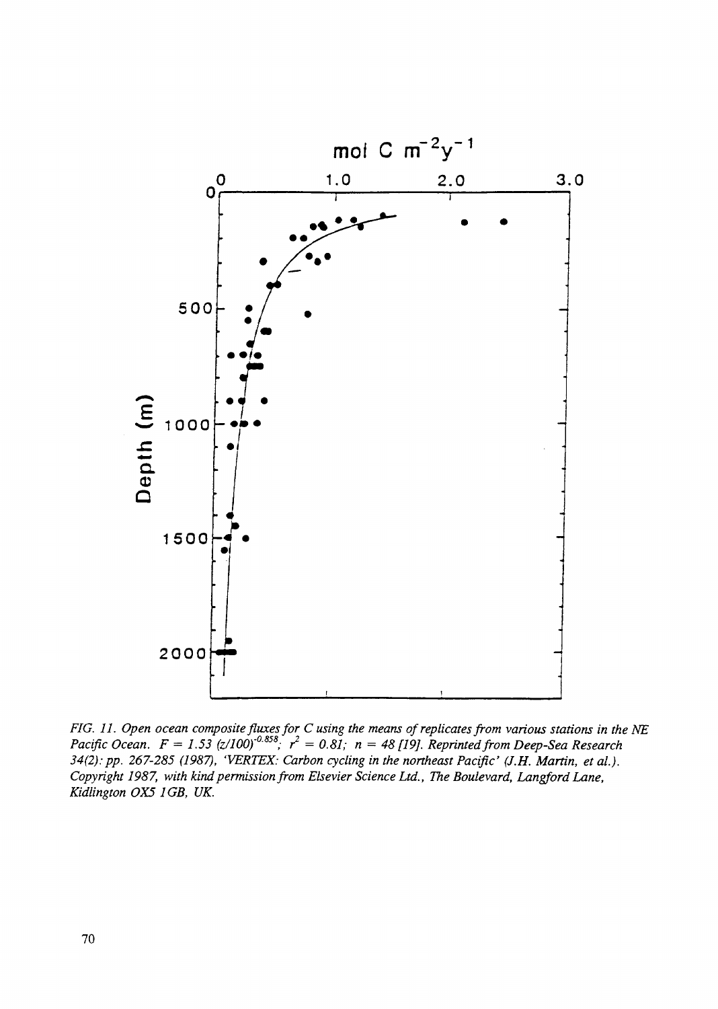

*FIG. 11. Open ocean composite fluxes for C using the means of replicates from various stations in the NE Pacific Ocean.*  $F = 1.53$  (z/100)<sup> $-0.858$ </sup>;  $r^2 = 0.81$ ; n = 48 [19]. Reprinted from Deep-Sea Research *34(2):pp. 267-285 (1987), 'VERTEX: Carbon cycling in the northeast Pacific' (J.H. Martin, et al). Copyright 1987, with kind permission from Elsevier Science Ltd., The Boulevard, Langford Lane, Kidlington OX5 1GB, UK.*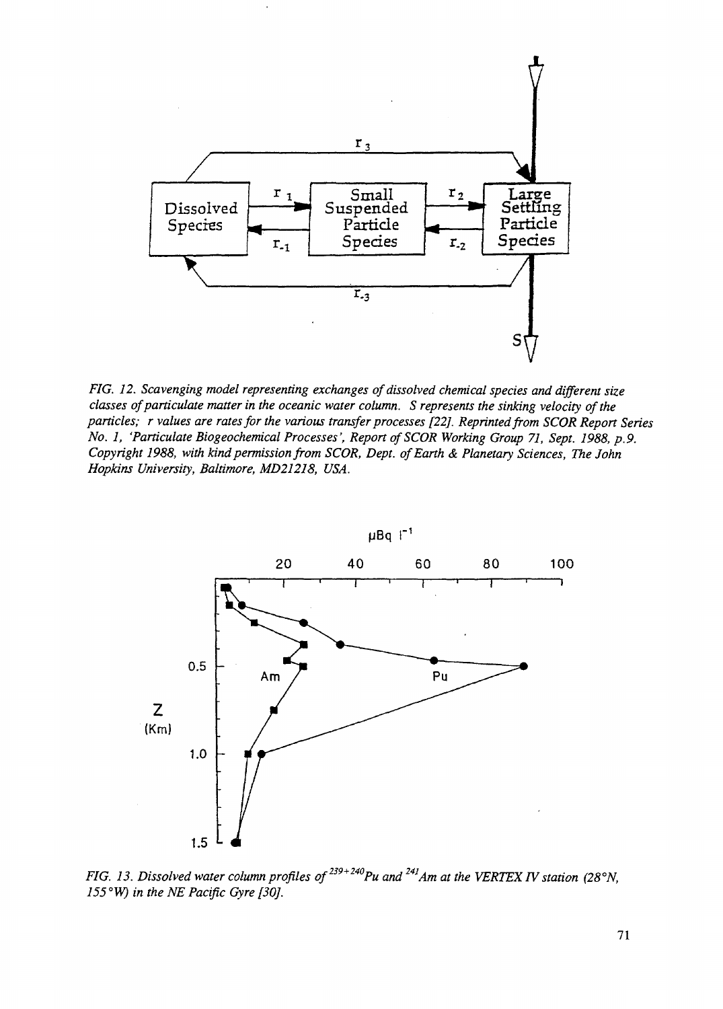

*FIG. 12. Scavenging model representing exchanges of dissolved chemical species and different size classes of paniculate matter in the oceanic water column. S represents the sinking velocity of the particles; r values are rates for the various transfer processes [22]. Reprinted from SCOR Report Series No. 1, 'Paniculate Biogeochemical Processes', Repon of SCOR Working Group 71, Sept. 1988, p.9. Copyright 1988, with kind permission from SCOR, Dept. of Earth & Planetary Sciences, The John Hopkins University, Baltimore, MD21218, USA.*



*FIG. 13. Dissolved water column profiles of*<sup>239+240</sup>*Pu and*<sup>241</sup>*Am at the VERTEX IV station (28°N, 155°W) in the NE Pacific Gyre [30].*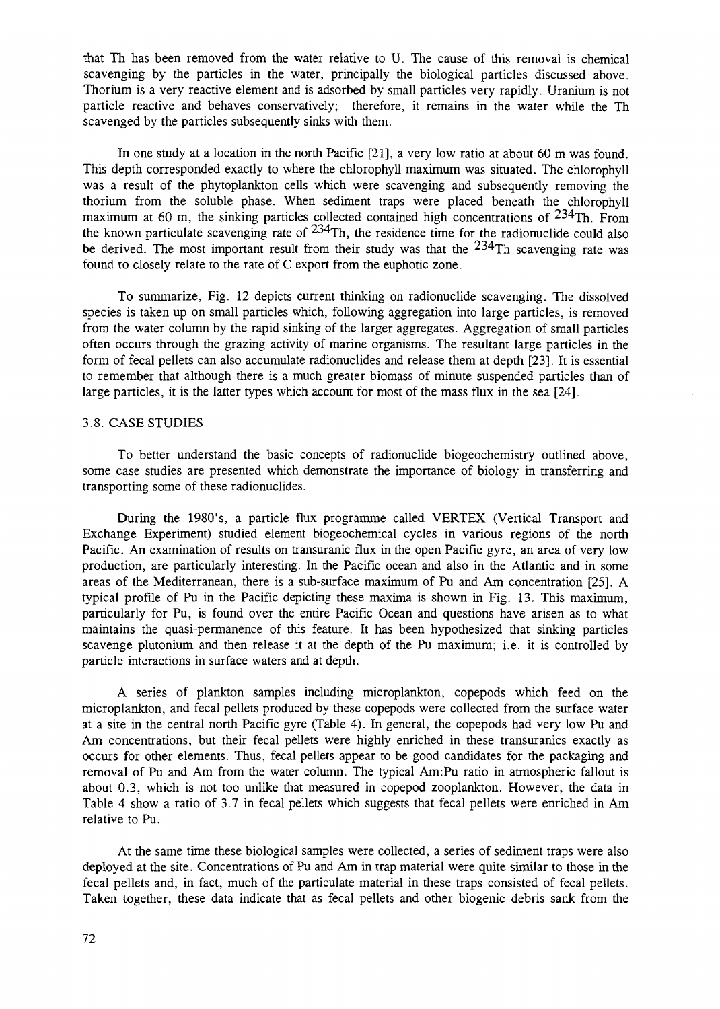that Th has been removed from the water relative to U. The cause of this removal is chemical scavenging by the particles in the water, principally the biological particles discussed above. Thorium is a very reactive element and is adsorbed by small particles very rapidly. Uranium is not particle reactive and behaves conservatively; therefore, it remains in the water while the Th scavenged by the particles subsequently sinks with them.

In one study at a location in the north Pacific [21], a very low ratio at about 60 m was found. This depth corresponded exactly to where the chlorophyll maximum was situated. The chlorophyll was a result of the phytoplankton cells which were scavenging and subsequently removing the thorium from the soluble phase. When sediment traps were placed beneath the chlorophyll maximum at 60 m, the sinking particles collected contained high concentrations of  $234$ Th. From the known particulate scavenging rate of  $234$ Th, the residence time for the radionuclide could also be derived. The most important result from their study was that the  $234$ Th scavenging rate was found to closely relate to the rate of C export from the euphotic zone.

To summarize, Fig. 12 depicts current thinking on radionuclide scavenging. The dissolved species is taken up on small particles which, following aggregation into large particles, is removed from the water column by the rapid sinking of the larger aggregates. Aggregation of small particles often occurs through the grazing activity of marine organisms. The resultant large particles in the form of fecal pellets can also accumulate radionuclides and release them at depth [23]. It is essential to remember that although there is a much greater biomass of minute suspended particles than of large particles, it is the latter types which account for most of the mass flux in the sea [24].

#### 3.8. CASE STUDIES

To better understand the basic concepts of radionuclide biogeochemistry outlined above, some case studies are presented which demonstrate the importance of biology in transferring and transporting some of these radionuclides.

During the 1980's, a particle flux programme called VERTEX (Vertical Transport and Exchange Experiment) studied element biogeochemical cycles in various regions of the north Pacific. An examination of results on transuranic flux in the open Pacific gyre, an area of very low production, are particularly interesting. In the Pacific ocean and also in the Atlantic and in some areas of the Mediterranean, there is a sub-surface maximum of Pu and Am concentration [25]. A typical profile of Pu in the Pacific depicting these maxima is shown in Fig. 13. This maximum, particularly for Pu, is found over the entire Pacific Ocean and questions have arisen as to what maintains the quasi-permanence of this feature. It has been hypothesized that sinking particles scavenge plutonium and then release it at the depth of the Pu maximum; i.e. it is controlled by particle interactions in surface waters and at depth.

A series of plankton samples including microplankton, copepods which feed on the microplankton, and fecal pellets produced by these copepods were collected from the surface water at a site in the central north Pacific gyre (Table 4). In general, the copepods had very low Pu and Am concentrations, but their fecal pellets were highly enriched in these transuranics exactly as occurs for other elements. Thus, fecal pellets appear to be good candidates for the packaging and removal of Pu and Am from the water column. The typical Am:Pu ratio in atmospheric fallout is about 0.3, which is not too unlike that measured in copepod zooplankton. However, the data in Table 4 show a ratio of 3.7 in fecal pellets which suggests that fecal pellets were enriched in Am relative to Pu.

At the same time these biological samples were collected, a series of sediment traps were also deployed at the site. Concentrations of Pu and Am in trap material were quite similar to those in the fecal pellets and, in fact, much of the particulate material in these traps consisted of fecal pellets. Taken together, these data indicate that as fecal pellets and other biogenic debris sank from the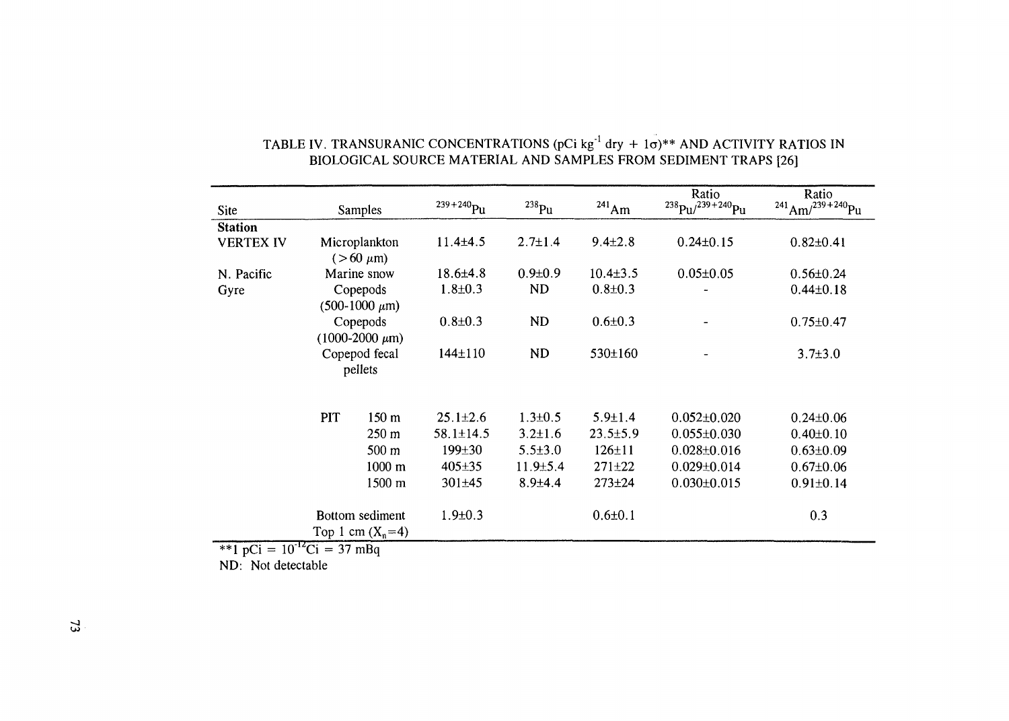| <b>Site</b>                |     | <b>Samples</b>                                        | $239 + 240$ Pu  | $^{238}$ Pu    | $^{241}$ Am    | Ratio<br>$^{238}Pu^{239+240}Pu$ | Ratio<br>$^{241}$ Am/ <sup>239+240</sup> Pu |
|----------------------------|-----|-------------------------------------------------------|-----------------|----------------|----------------|---------------------------------|---------------------------------------------|
| <b>Station</b>             |     |                                                       |                 |                |                |                                 |                                             |
| <b>VERTEX IV</b>           |     | Microplankton<br>$(>60 \mu m)$                        | $11.4 \pm 4.5$  | $2.7 \pm 1.4$  | $9.4 \pm 2.8$  | $0.24 \pm 0.15$                 | $0.82 \pm 0.41$                             |
| N. Pacific                 |     | Marine snow                                           | $18.6{\pm}4.8$  | $0.9 \pm 0.9$  | $10.4 \pm 3.5$ | $0.05 \pm 0.05$                 | $0.56 \pm 0.24$                             |
| Gyre                       |     | Copepods<br>$(500-1000 \mu m)$                        | $1.8 + 0.3$     | ND             | $0.8 + 0.3$    |                                 | $0.44 \pm 0.18$                             |
|                            |     | Copepods<br>$(1000-2000 \ \mu m)$                     | $0.8 + 0.3$     | <b>ND</b>      | $0.6{\pm}0.3$  |                                 | $0.75 \pm 0.47$                             |
|                            |     | Copepod fecal<br>pellets                              | $144 \pm 110$   | <b>ND</b>      | 530±160        |                                 | $3.7 \pm 3.0$                               |
|                            |     |                                                       |                 |                |                |                                 |                                             |
|                            | PIT | 150 m                                                 | $25.1 \pm 2.6$  | $1.3 \pm 0.5$  | $5.9 \pm 1.4$  | $0.052 \pm 0.020$               | $0.24 \pm 0.06$                             |
|                            |     | 250 m                                                 | $58.1 \pm 14.5$ | $3.2 \pm 1.6$  | $23.5 \pm 5.9$ | $0.055 \pm 0.030$               | $0.40 \pm 0.10$                             |
|                            |     | 500 m                                                 | 199±30          | $5.5 \pm 3.0$  | $126 \pm 11$   | $0.028 \pm 0.016$               | $0.63 \pm 0.09$                             |
|                            |     | $1000 \text{ m}$                                      | $405 \pm 35$    | $11.9 \pm 5.4$ | $271 + 22$     | $0.029 \pm 0.014$               | $0.67 \pm 0.06$                             |
|                            |     | 1500 m                                                | 301±45          | $8.9{\pm}4.4$  | $273 + 24$     | $0.030 \pm 0.015$               | $0.91 \pm 0.14$                             |
| $10^{-12}$<br>$441$ $\sim$ |     | Bottom sediment<br>Top 1 cm $(X_n = 4)$<br>$27 - D -$ | $1.9 \pm 0.3$   |                | $0.6 \pm 0.1$  |                                 | 0.3                                         |

# TABLE IV. TRANSURANIC CONCENTRATIONS (pCi kg  $^1$  dry + 10)\*\* AND ACTIVITY RATIOS IN BIOLOGICAL SOURCE MATERIAL AND SAMPLES FROM SEDIMENT TRAPS [26]

\*\*1 pCi =  $10^{-12}$ Ci = 37 mBq

ND: Not detectable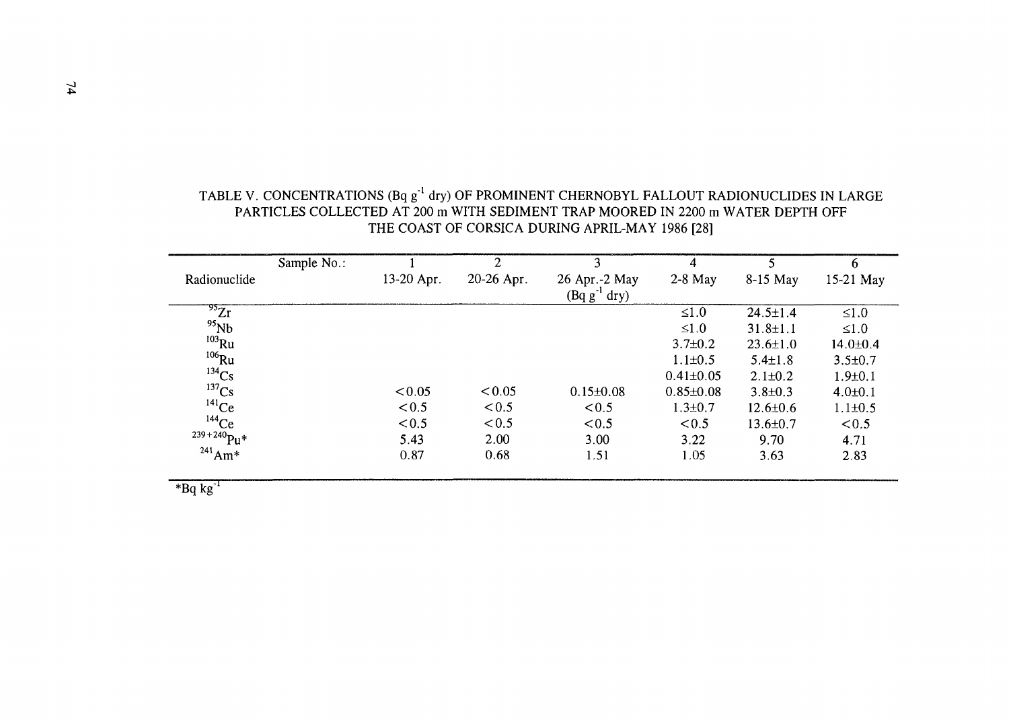|                          | Sample No.: |            | $\overline{2}$ | 3                | 4               | 5              | 6              |
|--------------------------|-------------|------------|----------------|------------------|-----------------|----------------|----------------|
| Radionuclide             |             | 13-20 Apr. | 20-26 Apr.     | 26 Apr.-2 May    | $2-8$ May       | 8-15 May       | 15-21 May      |
|                          |             |            |                | $(Bqg^{-1}$ dry) |                 |                |                |
| $\overline{^{95}Zr}$     |             |            |                |                  | $\leq 1.0$      | $24.5 \pm 1.4$ | $\leq 1.0$     |
| $^{95}Nb$                |             |            |                |                  | $\leq 1.0$      | $31.8 \pm 1.1$ | $\leq 1.0$     |
| $103$ Ru                 |             |            |                |                  | $3.7 \pm 0.2$   | $23.6 \pm 1.0$ | $14.0 \pm 0.4$ |
| $106$ Ru                 |             |            |                |                  | $1.1 \pm 0.5$   | $5.4 \pm 1.8$  | $3.5 \pm 0.7$  |
| $134$ Cs                 |             |            |                |                  | $0.41 \pm 0.05$ | $2.1 \pm 0.2$  | $1.9 \pm 0.1$  |
| $137$ Cs                 |             | < 0.05     | < 0.05         | $0.15 \pm 0.08$  | $0.85 \pm 0.08$ | $3.8 \pm 0.3$  | $4.0 \pm 0.1$  |
| $141$ Ce                 |             | < 0.5      | < 0.5          | < 0.5            | $1.3 \pm 0.7$   | $12.6 \pm 0.6$ | $1.1 \pm 0.5$  |
| $144$ Ce                 |             | < 0.5      | < 0.5          | < 0.5            | < 0.5           | $13.6 \pm 0.7$ | < 0.5          |
| $239 + 240$ Pu*          |             | 5.43       | 2.00           | 3.00             | 3.22            | 9.70           | 4.71           |
| $^{241}$ Am <sup>*</sup> |             | 0.87       | 0.68           | 1.51             | 1.05            | 3.63           | 2.83           |
|                          |             |            |                |                  |                 |                |                |

# TABLE V. CONCENTRATIONS (Bq  $\rm g^{1}$  dry) OF PROMINENT CHERNOBYL FALLOUT RADIONUCLIDES IN LARGE PARTICLES COLLECTED AT 200 m WITH SEDIMENT TRAP MOORED IN 2200 m WATER DEPTH OFF THE COAST OF CORSICA DURING APRIL-MAY 1986 [28]

 $*$ Bq kg $^{-1}$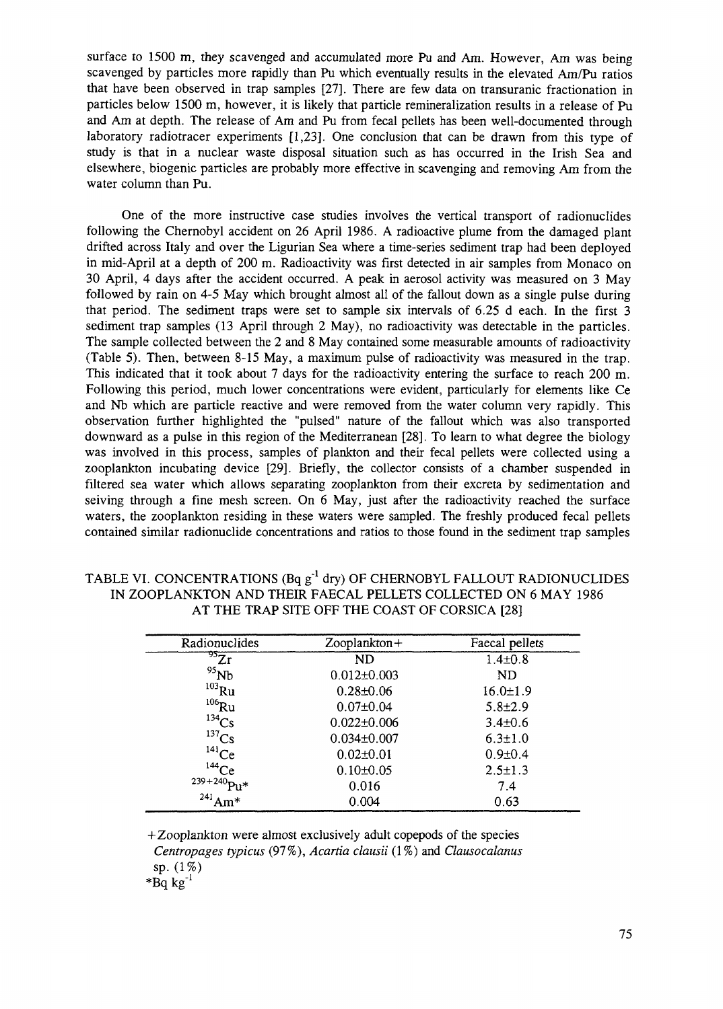surface to 1500 m, they scavenged and accumulated more Pu and Am. However, Am was being scavenged by particles more rapidly than Pu which eventually results in the elevated Am/Pu ratios that have been observed in trap samples [27]. There are few data on transuranic fractionation in particles below 1500 m, however, it is likely that particle remineralization results in a release of Pu and Am at depth. The release of Am and Pu from fecal pellets has been well-documented through laboratory radiotracer experiments [1,23]. One conclusion that can be drawn from this type of study is that in a nuclear waste disposal situation such as has occurred in the Irish Sea and elsewhere, biogenic particles are probably more effective in scavenging and removing Am from the water column than Pu.

One of the more instructive case studies involves the vertical transport of radionuclides following the Chernobyl accident on 26 April 1986. A radioactive plume from the damaged plant drifted across Italy and over the Ligurian Sea where a time-series sediment trap had been deployed in mid-April at a depth of 200 m. Radioactivity was first detected in air samples from Monaco on 30 April, 4 days after the accident occurred. A peak in aerosol activity was measured on 3 May followed by rain on 4-5 May which brought almost all of the fallout down as a single pulse during that period. The sediment traps were set to sample six intervals of 6.25 d each. In the first 3 sediment trap samples (13 April through 2 May), no radioactivity was detectable in the particles. The sample collected between the 2 and 8 May contained some measurable amounts of radioactivity (Table 5). Then, between 8-15 May, a maximum pulse of radioactivity was measured in the trap. This indicated that it took about 7 days for the radioactivity entering the surface to reach 200 m. Following this period, much lower concentrations were evident, particularly for elements like Ce and Nb which are particle reactive and were removed from the water column very rapidly. This observation further highlighted the "pulsed" nature of the fallout which was also transported downward as a pulse in this region of the Mediterranean [28]. To learn to what degree the biology was involved in this process, samples of plankton and their fecal pellets were collected using a zooplankton incubating device [29]. Briefly, the collector consists of a chamber suspended in filtered sea water which allows separating zooplankton from their excreta by sedimentation and seiving through a fine mesh screen. On 6 May, just after the radioactivity reached the surface waters, the zooplankton residing in these waters were sampled. The freshly produced fecal pellets contained similar radionuclide concentrations and ratios to those found in the sediment trap samples

## TABLE VI. CONCENTRATIONS (Bq  $g^{-1}$  dry) OF CHERNOBYL FALLOUT RADIONUCLIDES IN ZOOPLANKTON AND THEIR FAECAL PELLETS COLLECTED ON 6 MAY 1986 AT THE TRAP SITE OFF THE COAST OF CORSICA [28]

| Radionuclides            | $Z$ ooplankton +  | Faecal pellets |
|--------------------------|-------------------|----------------|
| $^{95}\overline{\rm Zr}$ | ND                | $1.4 \pm 0.8$  |
| $^{95}Nb$                | $0.012 \pm 0.003$ | ND             |
| $103$ Ru                 | $0.28 \pm 0.06$   | $16.0 \pm 1.9$ |
| $106$ Ru                 | $0.07 \pm 0.04$   | $5.8 \pm 2.9$  |
| $^{134}Cs$               | $0.022 \pm 0.006$ | $3.4 \pm 0.6$  |
| $^{137}Cs$               | $0.034 \pm 0.007$ | $6.3 \pm 1.0$  |
| $^{141}Ce$               | $0.02{\pm}0.01$   | $0.9 \pm 0.4$  |
| $144$ Ce                 | $0.10 \pm 0.05$   | $2.5 \pm 1.3$  |
| $239 + 240$ Pu*          | 0.016             | 7.4            |
| $^{241}$ Am*             | 0.004             | 0.63           |

+Zooplankton were almost exclusively adult copepods of the species *Centropages typicus* (97%), *Acartia clausii* (1%) and *Clausocalanus* sp. (1%)

 $*$ Bq kg $^{-1}$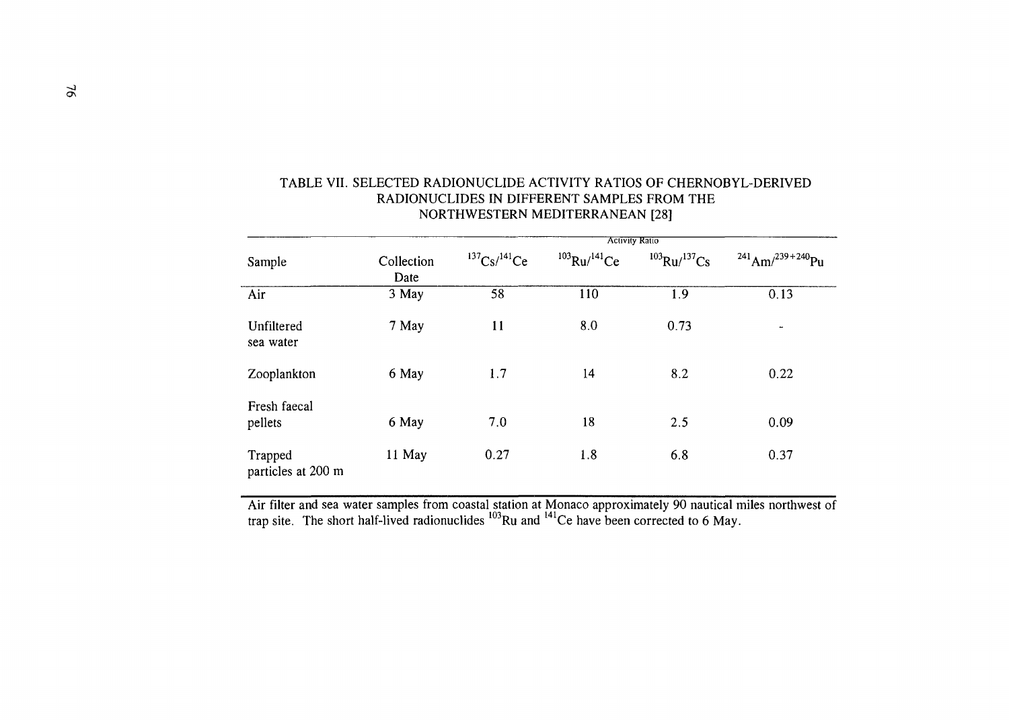|                               |                    | <b>Activity Ratio</b>      |                    |                    |                                    |  |  |  |  |  |  |
|-------------------------------|--------------------|----------------------------|--------------------|--------------------|------------------------------------|--|--|--|--|--|--|
| Sample                        | Collection<br>Date | $137Cs/$ <sup>141</sup> Ce | $103$ Ru/ $141$ Ce | $103$ Ru/ $137$ Cs | $^{241}$ Am/ <sup>239+240</sup> Pu |  |  |  |  |  |  |
| Air                           | 3 May              | 58                         | 110                | 1.9                | 0.13                               |  |  |  |  |  |  |
| Unfiltered<br>sea water       | 7 May              | 11                         | 8.0                | 0.73               | -                                  |  |  |  |  |  |  |
| Zooplankton                   | 6 May              | 1.7                        | 14                 | 8.2                | 0.22                               |  |  |  |  |  |  |
| Fresh faecal<br>pellets       | 6 May              | 7.0                        | 18                 | 2.5                | 0.09                               |  |  |  |  |  |  |
| Trapped<br>particles at 200 m | 11 May             | 0.27                       | 1.8                | 6.8                | 0.37                               |  |  |  |  |  |  |

# TABLE VII. SELECTED RADIONUCLIDE ACTIVITY RATIOS OF CHERNOBYL-DERIVED RADIONUCLIDES IN DIFFERENT SAMPLES FROM THE NORTHWESTERN MEDITERRANEAN [28]

Air filter and sea water samples from coastal station at Monaco approximately 90 nautical miles northwest of trap site. The short half-lived radionuclides <sup>103</sup>Ru and <sup>141</sup>Ce have been corrected to 6 May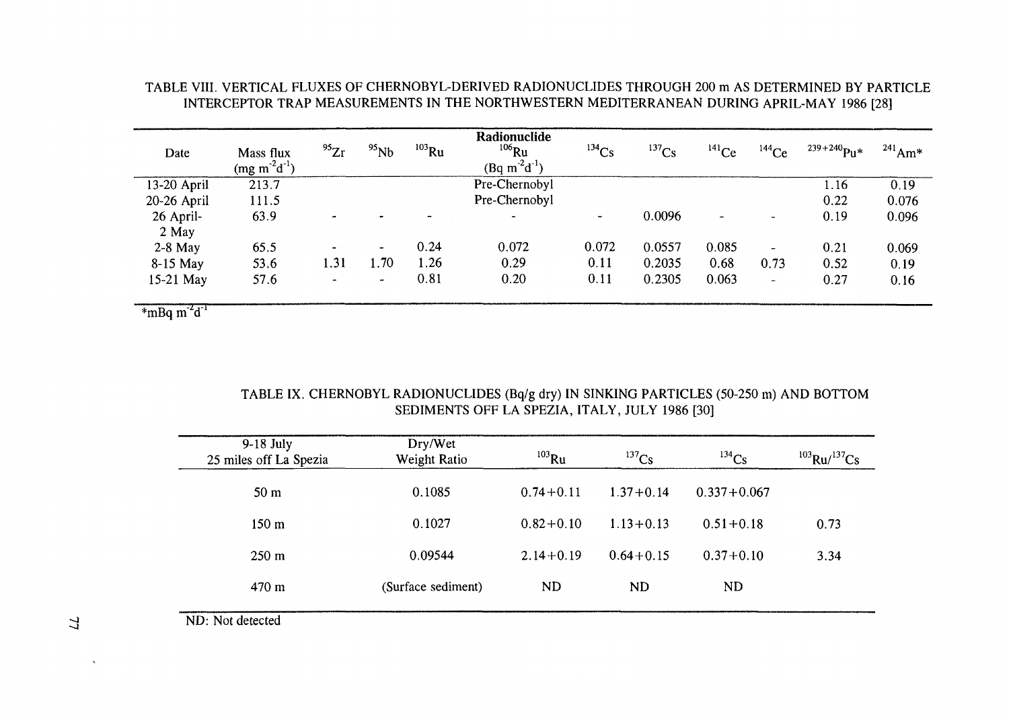# TABLE VIII. VERTICAL FLUXES OF CHERNOBYL-DERIVED RADIONUCLIDES THROUGH 200 m AS DETERMINED BY PARTICLE INTERCEPTOR TRAP MEASUREMENTS IN THE NORTHWESTERN MEDITERRANEAN DURING APRIL-MAY 1986 [28]

| Date        | Mass flux<br>$(mg m-2d-1)$ | $^{95}Zr$      | $^{95}Nb$      | $103$ Ru | Radionuclide<br>$106$ Ru<br>$(Bq m^2d^{-1})$ | $^{134}Cs$ | $137$ Cs | $^{141}Ce$ | $144$ Ce                 | $^{239+240}Pu*$ | $^{241}$ Am* |
|-------------|----------------------------|----------------|----------------|----------|----------------------------------------------|------------|----------|------------|--------------------------|-----------------|--------------|
| 13-20 April | 213.7                      |                |                |          | Pre-Chernobyl                                |            |          |            |                          | 1.16            | 0.19         |
| 20-26 April | 111.5                      |                |                |          | Pre-Chernobyl                                |            |          |            |                          | 0.22            | 0.076        |
| 26 April-   | 63.9                       | $\bullet$      |                |          | $\sim$                                       | $\bullet$  | 0.0096   |            | $\overline{\phantom{a}}$ | 0.19            | 0.096        |
| 2 May       |                            |                |                |          |                                              |            |          |            |                          |                 |              |
| $2-8$ May   | 65.5                       |                | $\blacksquare$ | 0.24     | 0.072                                        | 0.072      | 0.0557   | 0.085      | $\overline{\phantom{0}}$ | 0.21            | 0.069        |
| 8-15 May    | 53.6                       | 1.31           | .70            | 1.26     | 0.29                                         | 0.11       | 0.2035   | 0.68       | 0.73                     | 0.52            | 0.19         |
| 15-21 May   | 57.6                       | $\blacksquare$ | $\blacksquare$ | 0.81     | 0.20                                         | 0.11       | 0.2305   | 0.063      | -                        | 0.27            | 0.16         |
|             |                            |                |                |          |                                              |            |          |            |                          |                 |              |

 $*m$ Bq  $m^2d$ <sup>T</sup>

# TABLE IX. CHERNOBYL RADIONUCLIDES (Bq/g dry) IN SINKING PARTICLES (50-250 m) AND BOTTOM SEDIMENTS OFF LA SPEZIA, ITALY, JULY 1986 [30]

| 9-18 July<br>25 miles off La Spezia | Dry/Wet<br>Weight Ratio | $103$ Ru      | $^{137}Cs$    | $^{134}Cs$      | $103$ Ru/ $137$ Cs |
|-------------------------------------|-------------------------|---------------|---------------|-----------------|--------------------|
| 50 m                                | 0.1085                  | $0.74 + 0.11$ | $1.37 + 0.14$ | $0.337 + 0.067$ |                    |
| $150 \text{ m}$                     | 0.1027                  | $0.82 + 0.10$ | $1.13 + 0.13$ | $0.51 + 0.18$   | 0.73               |
| $250 \text{ m}$                     | 0.09544                 | $2.14 + 0.19$ | $0.64 + 0.15$ | $0.37 + 0.10$   | 3.34               |
| 470 m                               | (Surface sediment)      | ND            | ND            | ND.             |                    |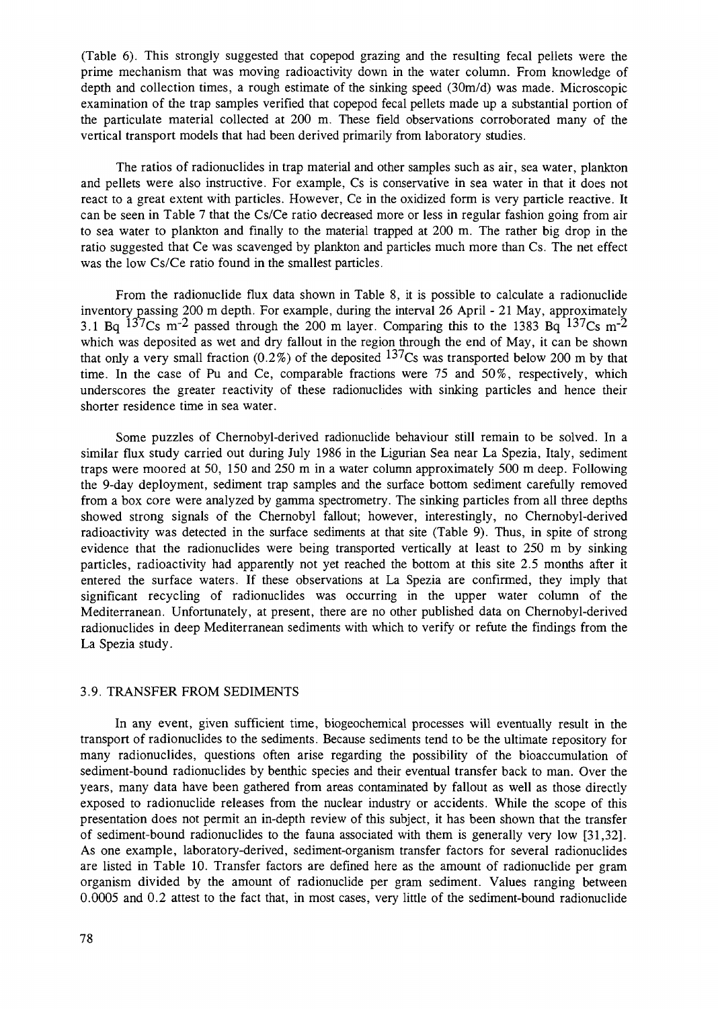(Table 6). This strongly suggested that copepod grazing and the resulting fecal pellets were the prime mechanism that was moving radioactivity down in the water column. From knowledge of depth and collection times, a rough estimate of the sinking speed (30m/d) was made. Microscopic examination of the trap samples verified that copepod fecal pellets made up a substantial portion of the paniculate material collected at 200 m. These field observations corroborated many of the vertical transport models that had been derived primarily from laboratory studies.

The ratios of radionuclides in trap material and other samples such as air, sea water, plankton and pellets were also instructive. For example, Cs is conservative in sea water in that it does not react to a great extent with particles. However, Ce in the oxidized form is very particle reactive. It can be seen in Table 7 that the Cs/Ce ratio decreased more or less in regular fashion going from air to sea water to plankton and finally to the material trapped at 200 m. The rather big drop in the ratio suggested that Ce was scavenged by plankton and particles much more than Cs. The net effect was the low Cs/Ce ratio found in the smallest particles.

From the radionuclide flux data shown in Table 8, it is possible to calculate a radionuclide inventory passing 200 m depth. For example, during the interval 26 April - 21 May, approximately 3.1 Bq  $137$ Cs m<sup>-2</sup> passed through the 200 m layer. Comparing this to the 1383 Bq  $137$ Cs m<sup>-2</sup> which was deposited as wet and dry fallout in the region through the end of May, it can be shown that only a very small fraction  $(0.2\%)$  of the deposited  $137$ Cs was transported below 200 m by that time. In the case of Pu and Ce, comparable fractions were 75 and 50%, respectively, which underscores the greater reactivity of these radionuclides with sinking particles and hence their shorter residence time in sea water.

Some puzzles of Chernobyl-derived radionuclide behaviour still remain to be solved. In a similar flux study carried out during July 1986 in the Ligurian Sea near La Spezia, Italy, sediment traps were moored at 50, 150 and 250 m in a water column approximately 500 m deep. Following the 9-day deployment, sediment trap samples and the surface bottom sediment carefully removed from a box core were analyzed by gamma spectrometry. The sinking particles from all three depths showed strong signals of the Chernobyl fallout; however, interestingly, no Chernobyl-derived radioactivity was detected in the surface sediments at that site (Table 9). Thus, in spite of strong evidence that the radionuclides were being transported vertically at least to 250 m by sinking particles, radioactivity had apparently not yet reached the bottom at this site 2.5 months after it entered the surface waters. If these observations at La Spezia are confirmed, they imply that significant recycling of radionuclides was occurring in the upper water column of the Mediterranean. Unfortunately, at present, there are no other published data on Chernobyl-derived radionuclides in deep Mediterranean sediments with which to verify or refute the findings from the La Spezia study.

#### 3.9. TRANSFER FROM SEDIMENTS

In any event, given sufficient time, biogeochemical processes will eventually result in the transport of radionuclides to the sediments. Because sediments tend to be the ultimate repository for many radionuclides, questions often arise regarding the possibility of the bioaccumulation of sediment-bound radionuclides by benthic species and their eventual transfer back to man. Over the years, many data have been gathered from areas contaminated by fallout as well as those directly exposed to radionuclide releases from the nuclear industry or accidents. While the scope of this presentation does not permit an in-depth review of this subject, it has been shown that the transfer of sediment-bound radionuclides to the fauna associated with them is generally very low [31,32]. As one example, laboratory-derived, sediment-organism transfer factors for several radionuclides are listed in Table 10. Transfer factors are defined here as the amount of radionuclide per gram organism divided by the amount of radionuclide per gram sediment. Values ranging between 0.0005 and 0.2 attest to the fact that, in most cases, very little of the sediment-bound radionuclide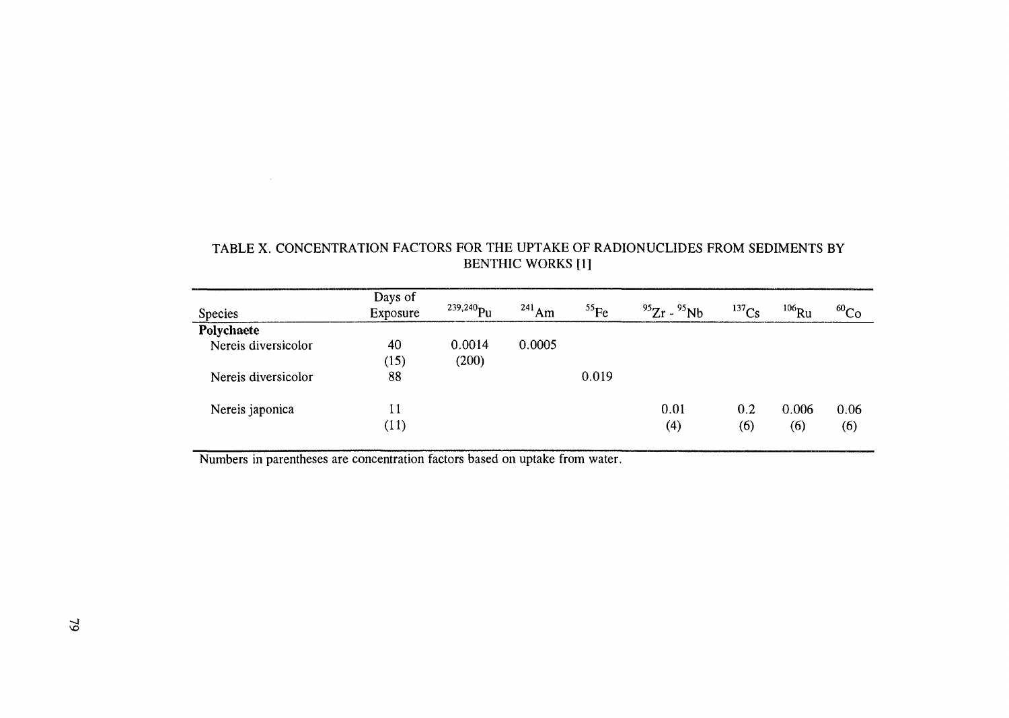| <b>Species</b>      | Days of<br>Exposure | $^{239,240}$ Pu | $^{241}$ Am | $^{55}$ Fe | $^{95}Zr - ^{95}Nb$ | $^{137}Cs$ | $^{106}\rm{Ru}$ | $^{60}$ Co  |
|---------------------|---------------------|-----------------|-------------|------------|---------------------|------------|-----------------|-------------|
| Polychaete          |                     |                 |             |            |                     |            |                 |             |
| Nereis diversicolor | 40<br>(15)          | 0.0014<br>(200) | 0.0005      |            |                     |            |                 |             |
| Nereis diversicolor | 88                  |                 |             | 0.019      |                     |            |                 |             |
| Nereis japonica     | 11<br>(11)          |                 |             |            | 0.01<br>(4)         | 0.2<br>(6) | 0.006<br>(6)    | 0.06<br>(6) |

# TABLE X. CONCENTRATION FACTORS FOR THE UPTAKE OF RADIONUCLIDES FROM SEDIMENTS BY BENTHIC WORKS [1]

Numbers in parentheses are concentration factors based on uptake from water.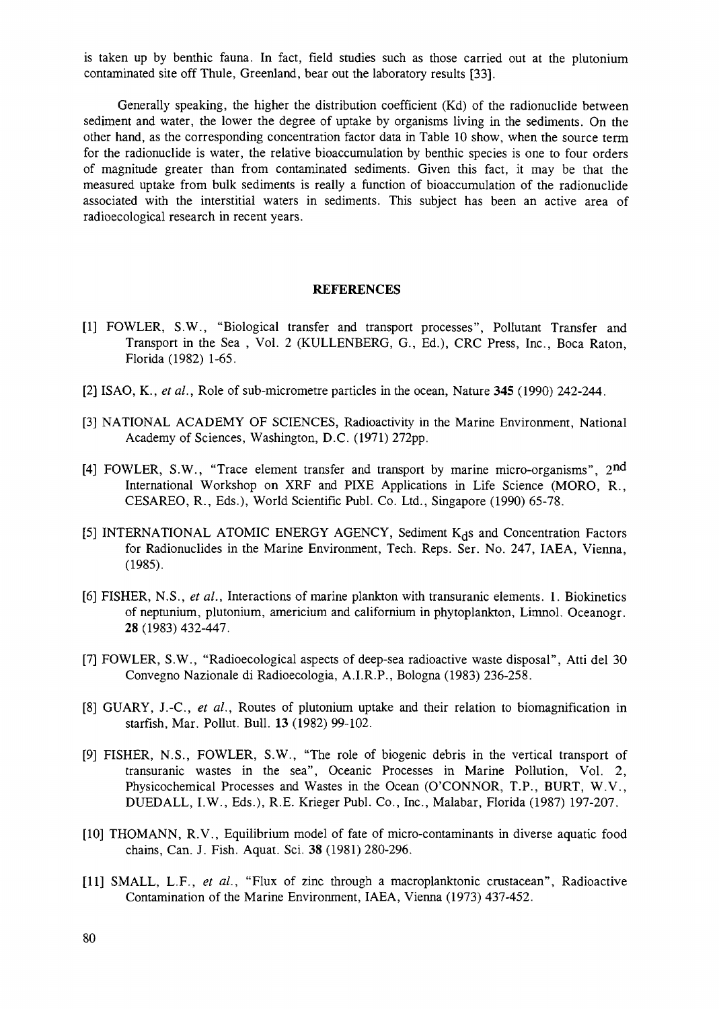is taken up by benthic fauna. In fact, field studies such as those carried out at the plutonium contaminated site off Thule, Greenland, bear out the laboratory results [33].

Generally speaking, the higher the distribution coefficient (Kd) of the radionuclide between sediment and water, the lower the degree of uptake by organisms living in the sediments. On the other hand, as the corresponding concentration factor data in Table 10 show, when the source term for the radionuclide is water, the relative bioaccumulation by benthic species is one to four orders of magnitude greater than from contaminated sediments. Given this fact, it may be that the measured uptake from bulk sediments is really a function of bioaccumulation of the radionuclide associated with the interstitial waters in sediments. This subject has been an active area of radioecological research in recent years.

#### **REFERENCES**

- [1] FOWLER, S.W., "Biological transfer and transport processes", Pollutant Transfer and Transport in the Sea , Vol. 2 (KULLENBERG, G., Ed.), CRC Press, Inc., Boca Raton, Florida (1982) 1-65.
- [2] ISAO, K., *et al.,* Role of sub-micrometre particles in the ocean, Nature **345** (1990) 242-244.
- [3] NATIONAL ACADEMY OF SCIENCES, Radioactivity in the Marine Environment, National Academy of Sciences, Washington, D.C. (1971) 272pp.
- [4] FOWLER, S.W., "Trace element transfer and transport by marine micro-organisms",  $2<sup>nd</sup>$ International Workshop on XRF and PIXE Applications in Life Science (MORO, R., CESAREO, R., Eds.), World Scientific Publ. Co. Ltd., Singapore (1990) 65-78.
- [5] INTERNATIONAL ATOMIC ENERGY AGENCY, Sediment  $K_d$ s and Concentration Factors for Radionuclides in the Marine Environment, Tech. Reps. Ser. No. 247, IAEA, Vienna, (1985).
- [6] FISHER, N.S., *et al.,* Interactions of marine plankton with transuranic elements. 1. Biokinetics of neptunium, plutonium, americium and californium in phytoplankton, Limnol. Oceanogr. 28 (1983) 432-447.
- [7] FOWLER, S.W., "Radioecological aspects of deep-sea radioactive waste disposal", Atti del 30 Convegno Nazionale di Radioecologia, A.I.R.P., Bologna (1983) 236-258.
- [8] GUARY, J.-C, *et al.,* Routes of plutonium uptake and their relation to biomagnification in starfish, Mar. Pollut. Bull. 13 (1982) 99-102.
- [9] FISHER, N.S., FOWLER, S.W., "The role of biogenic debris in the vertical transport of transuranic wastes in the sea", Oceanic Processes in Marine Pollution, Vol. 2, Physicochemical Processes and Wastes in the Ocean (O'CONNOR, T.P., BURT, W.V., DUEDALL, I.W., Eds.), R.E. Krieger Publ. Co., Inc., Malabar, Florida (1987) 197-207.
- [10] THOMANN, R.V., Equilibrium model of fate of micro-contaminants in diverse aquatic food chains, Can. J. Fish. Aquat. Sci. 38 (1981) 280-296.
- [II] SMALL, L.F., *et al.,* "Flux of zinc through a macroplanktonic crustacean", Radioactive Contamination of the Marine Environment, IAEA, Vienna (1973) 437-452.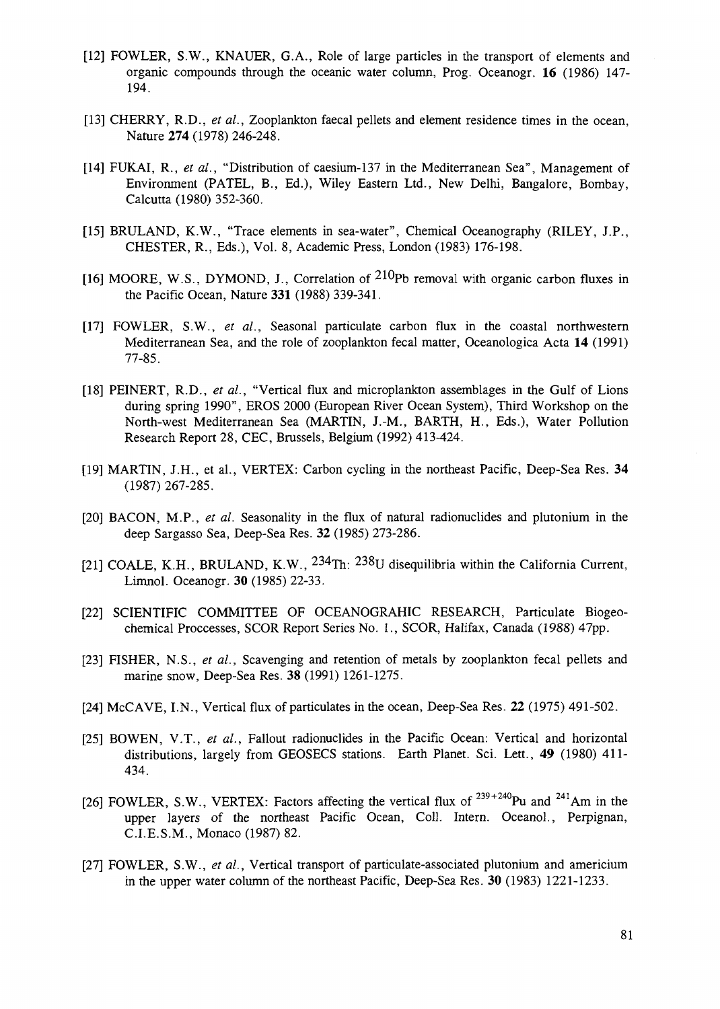- [12] FOWLER, S.W., KNAUER, G.A., Role of large particles in the transport of elements and organic compounds through the oceanic water column, Prog. Oceanogr. 16 (1986) 147- 194.
- [13] CHERRY, R.D., *et al.*, Zooplankton faecal pellets and element residence times in the ocean, Nature **274** (1978) 246-248.
- [14] FUKAI, R., *et al.,* "Distribution of caesium-137 in the Mediterranean Sea", Management of Environment (PATEL, B., Ed.), Wiley Eastern Ltd., New Delhi, Bangalore, Bombay, Calcutta (1980) 352-360.
- [15] BRULAND, K.W., "Trace elements in sea-water", Chemical Oceanography (RILEY, J.P., CHESTER, R., Eds.), Vol. 8, Academic Press, London (1983) 176-198.
- [16] MOORE, W.S., DYMOND, J., Correlation of  $210p$ b removal with organic carbon fluxes in the Pacific Ocean, Nature **331** (1988) 339-341.
- [17] FOWLER, S.W., *et al.,* Seasonal paniculate carbon flux in the coastal northwestern Mediterranean Sea, and the role of zooplankton fecal matter, Oceanologica Acta **14** (1991) 77-85.
- [18] PEINERT, R.D., et al., "Vertical flux and microplankton assemblages in the Gulf of Lions during spring 1990", EROS 2000 (European River Ocean System), Third Workshop on the North-west Mediterranean Sea (MARTIN, J.-M., BARTH, H., Eds.), Water Pollution Research Report 28, CEC, Brussels, Belgium (1992) 413-424.
- [19] MARTIN, J.H., et al., VERTEX: Carbon cycling in the northeast Pacific, Deep-Sea Res. **34** (1987) 267-285.
- [20] BACON, M.P., *et al.* Seasonality in the flux of natural radionuclides and plutonium in the deep Sargasso Sea, Deep-Sea Res. **32** (1985) 273-286.
- [21] COALE, K.H., BRULAND, K.W.,  $234$ Th:  $238$ U disequilibria within the California Current Limnol. Oceanogr. 30 (1985) 22-33.
- [22] SCIENTIFIC COMMITTEE OF OCEANOGRAHIC RESEARCH, Paniculate Biogeochemical Proccesses, SCOR Report Series No. 1., SCOR, Halifax, Canada (1988) 47pp.
- [23] FISHER, N.S., *et al.,* Scavenging and retention of metals by zooplankton fecal pellets and marine snow, Deep-Sea Res. 38 (1991) 1261-1275.
- [24] McCAVE, I.N., Vertical flux of particulates in the ocean, Deep-Sea Res. **22** (1975) 491-502.
- [25] BOWEN, V.T., *et al.,* Fallout radionuclides in the Pacific Ocean: Vertical and horizontal distributions, largely from GEOSECS stations. Earth Planet. Sci. Lett., 49 (1980) 411- 434.
- [26] FOWLER, S.W., VERTEX: Factors affecting the vertical flux of  $^{239+240}$ Pu and  $^{241}$ Am in the upper layers of the northeast Pacific Ocean, Coll. Intern. Oceanol., Perpignan, C.I.E.S.M., Monaco (1987) 82.
- [27] FOWLER, S.W., *et al.,* Vertical transport of particulate-associated plutonium and americium in the upper water column of the northeast Pacific, Deep-Sea Res. 30 (1983) 1221-1233.